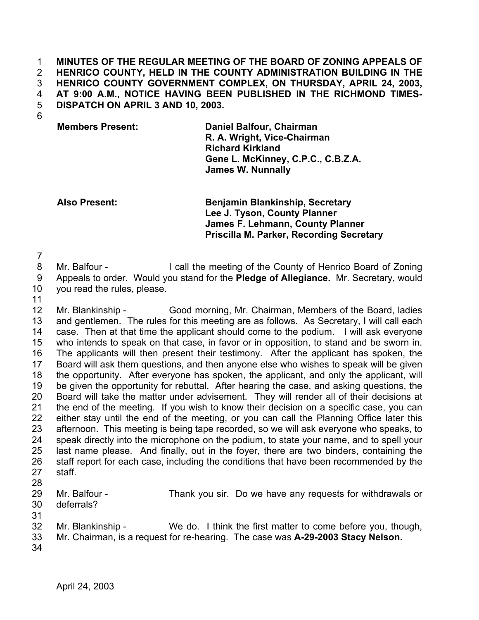**MINUTES OF THE REGULAR MEETING OF THE BOARD OF ZONING APPEALS OF HENRICO COUNTY, HELD IN THE COUNTY ADMINISTRATION BUILDING IN THE HENRICO COUNTY GOVERNMENT COMPLEX, ON THURSDAY, APRIL 24, 2003, AT 9:00 A.M., NOTICE HAVING BEEN PUBLISHED IN THE RICHMOND TIMES-DISPATCH ON APRIL 3 AND 10, 2003.**  1 2 3 4 5

6

**Members Present: Daniel Balfour, Chairman R. A. Wright, Vice-Chairman Richard Kirkland Gene L. McKinney, C.P.C., C.B.Z.A. James W. Nunnally**

**Also Present: Benjamin Blankinship, Secretary Lee J. Tyson, County Planner James F. Lehmann, County Planner Priscilla M. Parker, Recording Secretary**

7

8 Mr. Balfour - I call the meeting of the County of Henrico Board of Zoning

9 Appeals to order. Would you stand for the **Pledge of Allegiance.** Mr. Secretary, would

- 10 you read the rules, please.
- 11

12 13 14 15 16 17 18 19 20 21 22 23 24 25 26 27 28 Mr. Blankinship - Good morning, Mr. Chairman, Members of the Board, ladies and gentlemen. The rules for this meeting are as follows. As Secretary, I will call each case. Then at that time the applicant should come to the podium. I will ask everyone who intends to speak on that case, in favor or in opposition, to stand and be sworn in. The applicants will then present their testimony. After the applicant has spoken, the Board will ask them questions, and then anyone else who wishes to speak will be given the opportunity. After everyone has spoken, the applicant, and only the applicant, will be given the opportunity for rebuttal. After hearing the case, and asking questions, the Board will take the matter under advisement. They will render all of their decisions at the end of the meeting. If you wish to know their decision on a specific case, you can either stay until the end of the meeting, or you can call the Planning Office later this afternoon. This meeting is being tape recorded, so we will ask everyone who speaks, to speak directly into the microphone on the podium, to state your name, and to spell your last name please. And finally, out in the foyer, there are two binders, containing the staff report for each case, including the conditions that have been recommended by the staff.

- 29 30 31 Mr. Balfour - Thank you sir. Do we have any requests for withdrawals or deferrals?
- 32 Mr. Blankinship - We do. I think the first matter to come before you, though,
- 33 Mr. Chairman, is a request for re-hearing. The case was **A-29-2003 Stacy Nelson.**
- 34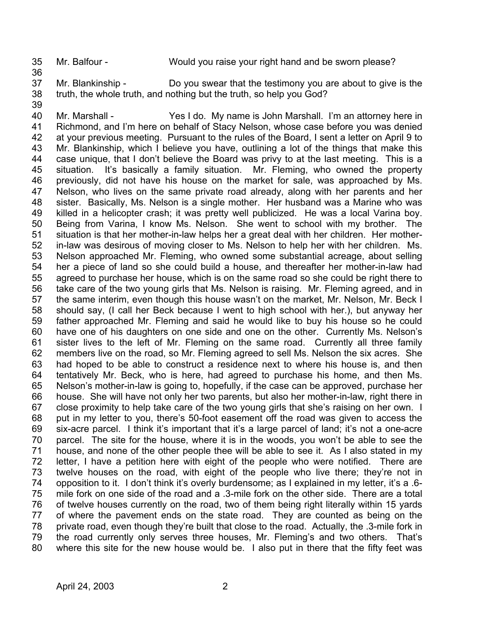35

Mr. Balfour - Would you raise your right hand and be sworn please?

- 37 38 Mr. Blankinship - Do you swear that the testimony you are about to give is the truth, the whole truth, and nothing but the truth, so help you God?
- 39

36

40 41 42 43 44 45 46 47 48 49 50 51 52 53 54 55 56 57 58 59 60 61 62 63 64 65 66 67 68 69 70 71 72 73 74 75 76 77 78 79 80 Mr. Marshall - Yes I do. My name is John Marshall. I'm an attorney here in Richmond, and I'm here on behalf of Stacy Nelson, whose case before you was denied at your previous meeting. Pursuant to the rules of the Board, I sent a letter on April 9 to Mr. Blankinship, which I believe you have, outlining a lot of the things that make this case unique, that I don't believe the Board was privy to at the last meeting. This is a situation. It's basically a family situation. Mr. Fleming, who owned the property previously, did not have his house on the market for sale, was approached by Ms. Nelson, who lives on the same private road already, along with her parents and her sister. Basically, Ms. Nelson is a single mother. Her husband was a Marine who was killed in a helicopter crash; it was pretty well publicized. He was a local Varina boy. Being from Varina, I know Ms. Nelson. She went to school with my brother. The situation is that her mother-in-law helps her a great deal with her children. Her motherin-law was desirous of moving closer to Ms. Nelson to help her with her children. Ms. Nelson approached Mr. Fleming, who owned some substantial acreage, about selling her a piece of land so she could build a house, and thereafter her mother-in-law had agreed to purchase her house, which is on the same road so she could be right there to take care of the two young girls that Ms. Nelson is raising. Mr. Fleming agreed, and in the same interim, even though this house wasn't on the market, Mr. Nelson, Mr. Beck I should say, (I call her Beck because I went to high school with her.), but anyway her father approached Mr. Fleming and said he would like to buy his house so he could have one of his daughters on one side and one on the other. Currently Ms. Nelson's sister lives to the left of Mr. Fleming on the same road. Currently all three family members live on the road, so Mr. Fleming agreed to sell Ms. Nelson the six acres. She had hoped to be able to construct a residence next to where his house is, and then tentatively Mr. Beck, who is here, had agreed to purchase his home, and then Ms. Nelson's mother-in-law is going to, hopefully, if the case can be approved, purchase her house. She will have not only her two parents, but also her mother-in-law, right there in close proximity to help take care of the two young girls that she's raising on her own. I put in my letter to you, there's 50-foot easement off the road was given to access the six-acre parcel. I think it's important that it's a large parcel of land; it's not a one-acre parcel. The site for the house, where it is in the woods, you won't be able to see the house, and none of the other people thee will be able to see it. As I also stated in my letter, I have a petition here with eight of the people who were notified. There are twelve houses on the road, with eight of the people who live there; they're not in opposition to it. I don't think it's overly burdensome; as I explained in my letter, it's a .6 mile fork on one side of the road and a .3-mile fork on the other side. There are a total of twelve houses currently on the road, two of them being right literally within 15 yards of where the pavement ends on the state road. They are counted as being on the private road, even though they're built that close to the road. Actually, the .3-mile fork in the road currently only serves three houses, Mr. Fleming's and two others. That's where this site for the new house would be. I also put in there that the fifty feet was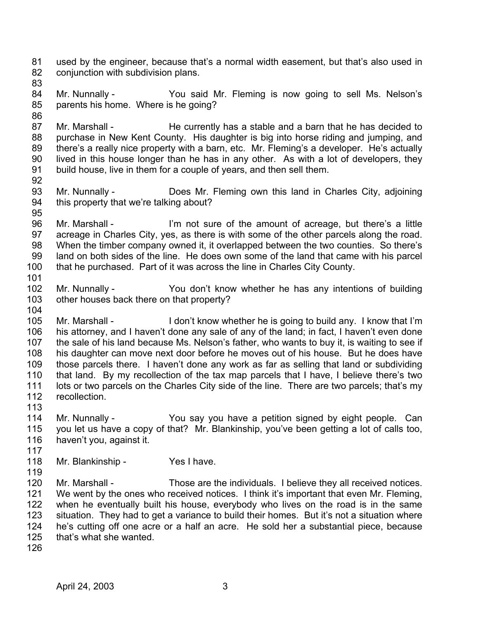81 82 used by the engineer, because that's a normal width easement, but that's also used in conjunction with subdivision plans.

83

84 85 Mr. Nunnally - You said Mr. Fleming is now going to sell Ms. Nelson's parents his home. Where is he going?

86 87 88 89 90 91 Mr. Marshall - The currently has a stable and a barn that he has decided to purchase in New Kent County. His daughter is big into horse riding and jumping, and there's a really nice property with a barn, etc. Mr. Fleming's a developer. He's actually lived in this house longer than he has in any other. As with a lot of developers, they build house, live in them for a couple of years, and then sell them.

92

93 94 Mr. Nunnally - Does Mr. Fleming own this land in Charles City, adjoining this property that we're talking about?

95

96 97 98 99 100 Mr. Marshall - I'm not sure of the amount of acreage, but there's a little acreage in Charles City, yes, as there is with some of the other parcels along the road. When the timber company owned it, it overlapped between the two counties. So there's land on both sides of the line. He does own some of the land that came with his parcel that he purchased. Part of it was across the line in Charles City County.

101

102 103 104 Mr. Nunnally - You don't know whether he has any intentions of building other houses back there on that property?

105 106 107 108 109 110 111 112 Mr. Marshall - I don't know whether he is going to build any. I know that I'm his attorney, and I haven't done any sale of any of the land; in fact, I haven't even done the sale of his land because Ms. Nelson's father, who wants to buy it, is waiting to see if his daughter can move next door before he moves out of his house. But he does have those parcels there. I haven't done any work as far as selling that land or subdividing that land. By my recollection of the tax map parcels that I have, I believe there's two lots or two parcels on the Charles City side of the line. There are two parcels; that's my recollection.

113

114 115 116 117 Mr. Nunnally - You say you have a petition signed by eight people. Can you let us have a copy of that? Mr. Blankinship, you've been getting a lot of calls too, haven't you, against it.

- 118 Mr. Blankinship - Yes I have.
- 119

120 121 122 123 124 125 Mr. Marshall - Those are the individuals. I believe they all received notices. We went by the ones who received notices. I think it's important that even Mr. Fleming, when he eventually built his house, everybody who lives on the road is in the same situation. They had to get a variance to build their homes. But it's not a situation where he's cutting off one acre or a half an acre. He sold her a substantial piece, because that's what she wanted.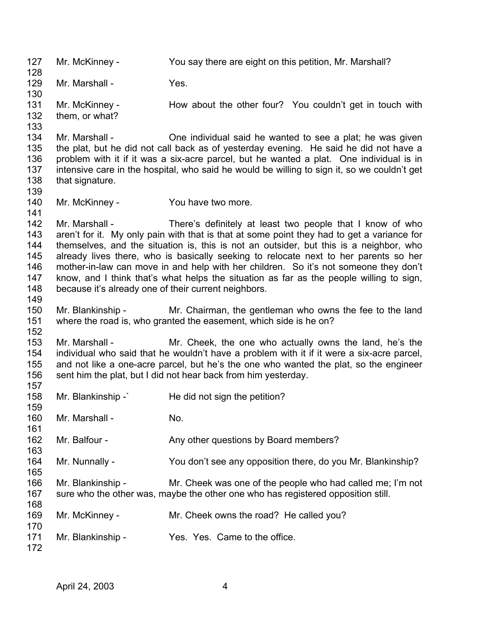127 128 129 130 131 132 133 134 135 136 137 138 139 140 141 142 143 144 145 146 147 148 149 150 151 152 153 154 155 156 157 158 159 160 161 162 163 164 165 166 167 168 169 170 171 172 Mr. McKinney - You say there are eight on this petition, Mr. Marshall? Mr. Marshall - Yes. Mr. McKinney - The How about the other four? You couldn't get in touch with them, or what? Mr. Marshall - Che individual said he wanted to see a plat; he was given the plat, but he did not call back as of yesterday evening. He said he did not have a problem with it if it was a six-acre parcel, but he wanted a plat. One individual is in intensive care in the hospital, who said he would be willing to sign it, so we couldn't get that signature. Mr. McKinney - You have two more. Mr. Marshall - There's definitely at least two people that I know of who aren't for it. My only pain with that is that at some point they had to get a variance for themselves, and the situation is, this is not an outsider, but this is a neighbor, who already lives there, who is basically seeking to relocate next to her parents so her mother-in-law can move in and help with her children. So it's not someone they don't know, and I think that's what helps the situation as far as the people willing to sign, because it's already one of their current neighbors. Mr. Blankinship - Mr. Chairman, the gentleman who owns the fee to the land where the road is, who granted the easement, which side is he on? Mr. Marshall - Mr. Cheek, the one who actually owns the land, he's the individual who said that he wouldn't have a problem with it if it were a six-acre parcel, and not like a one-acre parcel, but he's the one who wanted the plat, so the engineer sent him the plat, but I did not hear back from him yesterday. Mr. Blankinship -` He did not sign the petition? Mr. Marshall - No. Mr. Balfour - Any other questions by Board members? Mr. Nunnally - You don't see any opposition there, do you Mr. Blankinship? Mr. Blankinship - Mr. Cheek was one of the people who had called me; I'm not sure who the other was, maybe the other one who has registered opposition still. Mr. McKinney - Mr. Cheek owns the road? He called you? Mr. Blankinship - Yes. Yes. Came to the office.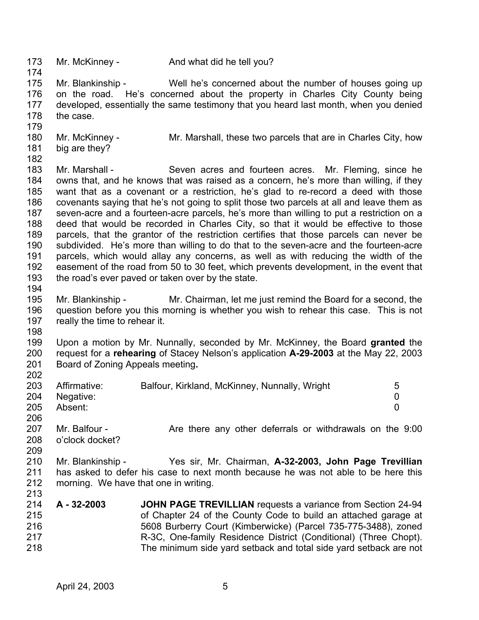173 174 175 176 177 178 179 180 181 182 183 184 185 186 187 188 189 190 191 192 193 194 195 196 197 198 199 200 201 202 203 204 205 206 207 208 209 210 211 212 213 214 215 216 217 218 Mr. McKinney - And what did he tell you? Mr. Blankinship - Well he's concerned about the number of houses going up on the road. He's concerned about the property in Charles City County being developed, essentially the same testimony that you heard last month, when you denied the case. Mr. McKinney - The Mr. Marshall, these two parcels that are in Charles City, how big are they? Mr. Marshall - Seven acres and fourteen acres. Mr. Fleming, since he owns that, and he knows that was raised as a concern, he's more than willing, if they want that as a covenant or a restriction, he's glad to re-record a deed with those covenants saying that he's not going to split those two parcels at all and leave them as seven-acre and a fourteen-acre parcels, he's more than willing to put a restriction on a deed that would be recorded in Charles City, so that it would be effective to those parcels, that the grantor of the restriction certifies that those parcels can never be subdivided. He's more than willing to do that to the seven-acre and the fourteen-acre parcels, which would allay any concerns, as well as with reducing the width of the easement of the road from 50 to 30 feet, which prevents development, in the event that the road's ever paved or taken over by the state. Mr. Blankinship - Mr. Chairman, let me just remind the Board for a second, the question before you this morning is whether you wish to rehear this case. This is not really the time to rehear it. Upon a motion by Mr. Nunnally, seconded by Mr. McKinney, the Board **granted** the request for a **rehearing** of Stacey Nelson's application **A-29-2003** at the May 22, 2003 Board of Zoning Appeals meeting**.**  Affirmative: Balfour, Kirkland, McKinney, Nunnally, Wright 5 Negative: 0 Absent: 0 Mr. Balfour - The Are there any other deferrals or withdrawals on the 9:00 o'clock docket? Mr. Blankinship - Yes sir, Mr. Chairman, **A-32-2003, John Page Trevillian** has asked to defer his case to next month because he was not able to be here this morning. We have that one in writing. **A - 32-2003 JOHN PAGE TREVILLIAN** requests a variance from Section 24-94 of Chapter 24 of the County Code to build an attached garage at 5608 Burberry Court (Kimberwicke) (Parcel 735-775-3488), zoned R-3C, One-family Residence District (Conditional) (Three Chopt). The minimum side yard setback and total side yard setback are not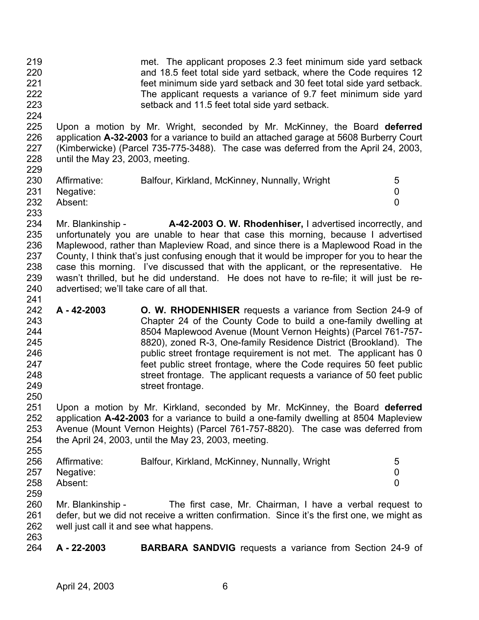219 220 221 222 223 met. The applicant proposes 2.3 feet minimum side yard setback and 18.5 feet total side yard setback, where the Code requires 12 feet minimum side yard setback and 30 feet total side yard setback. The applicant requests a variance of 9.7 feet minimum side yard setback and 11.5 feet total side yard setback.

225 226 227 228 229 Upon a motion by Mr. Wright, seconded by Mr. McKinney, the Board **deferred** application **A-32-2003** for a variance to build an attached garage at 5608 Burberry Court (Kimberwicke) (Parcel 735-775-3488). The case was deferred from the April 24, 2003, until the May 23, 2003, meeting.

| --- |              |                                               |  |
|-----|--------------|-----------------------------------------------|--|
| 230 | Affirmative: | Balfour, Kirkland, McKinney, Nunnally, Wright |  |
| 231 | Negative:    |                                               |  |
| 232 | Absent:      |                                               |  |
| 233 |              |                                               |  |

- 234 235 236 237 238 239 240 Mr. Blankinship - **A-42-2003 O. W. Rhodenhiser,** I advertised incorrectly, and unfortunately you are unable to hear that case this morning, because I advertised Maplewood, rather than Mapleview Road, and since there is a Maplewood Road in the County, I think that's just confusing enough that it would be improper for you to hear the case this morning. I've discussed that with the applicant, or the representative. He wasn't thrilled, but he did understand. He does not have to re-file; it will just be readvertised; we'll take care of all that.
- 242 243 244 245 246 247 248 249 250 **A - 42-2003 O. W. RHODENHISER** requests a variance from Section 24-9 of Chapter 24 of the County Code to build a one-family dwelling at 8504 Maplewood Avenue (Mount Vernon Heights) (Parcel 761-757- 8820), zoned R-3, One-family Residence District (Brookland). The public street frontage requirement is not met. The applicant has 0 feet public street frontage, where the Code requires 50 feet public street frontage. The applicant requests a variance of 50 feet public street frontage.

251 252 253 254 255 Upon a motion by Mr. Kirkland, seconded by Mr. McKinney, the Board **deferred** application **A-42-2003** for a variance to build a one-family dwelling at 8504 Mapleview Avenue (Mount Vernon Heights) (Parcel 761-757-8820). The case was deferred from the April 24, 2003, until the May 23, 2003, meeting.

| 256 | Affirmative:  | Balfour, Kirkland, McKinney, Nunnally, Wright | 5 |
|-----|---------------|-----------------------------------------------|---|
|     | 257 Negative: |                                               |   |
| 258 | Absent:       |                                               |   |
| 259 |               |                                               |   |

260 261 262 Mr. Blankinship - The first case, Mr. Chairman, I have a verbal request to defer, but we did not receive a written confirmation. Since it's the first one, we might as well just call it and see what happens.

263 264

224

241

**A - 22-2003 BARBARA SANDVIG** requests a variance from Section 24-9 of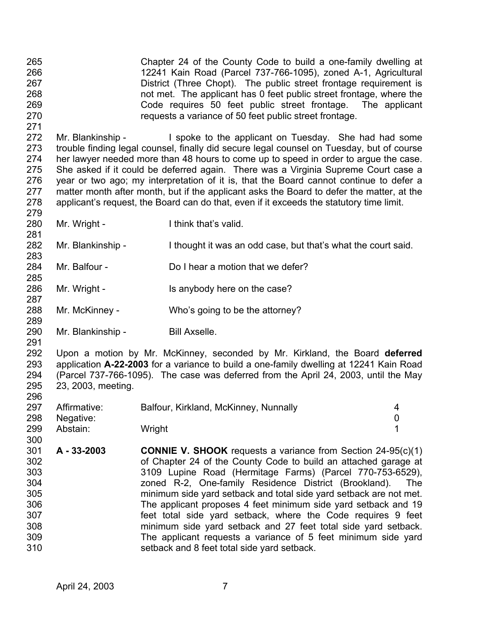265 266 267 268 269 270 271 Chapter 24 of the County Code to build a one-family dwelling at 12241 Kain Road (Parcel 737-766-1095), zoned A-1, Agricultural District (Three Chopt). The public street frontage requirement is not met. The applicant has 0 feet public street frontage, where the Code requires 50 feet public street frontage. The applicant requests a variance of 50 feet public street frontage.

272 273 274 275 276 277 278 279 Mr. Blankinship - I spoke to the applicant on Tuesday. She had had some trouble finding legal counsel, finally did secure legal counsel on Tuesday, but of course her lawyer needed more than 48 hours to come up to speed in order to argue the case. She asked if it could be deferred again. There was a Virginia Supreme Court case a year or two ago; my interpretation of it is, that the Board cannot continue to defer a matter month after month, but if the applicant asks the Board to defer the matter, at the applicant's request, the Board can do that, even if it exceeds the statutory time limit.

280 Mr. Wright - Think that's valid.

281

283

285

287

289

291

300

- 282 Mr. Blankinship - I thought it was an odd case, but that's what the court said.
- 284 Mr. Balfour - Do I hear a motion that we defer?
- 286 Mr. Wright - Is anybody here on the case?
- 288 Mr. McKinney - Who's going to be the attorney?
- 290 Mr. Blankinship - Bill Axselle.

292 293 294 295 296 Upon a motion by Mr. McKinney, seconded by Mr. Kirkland, the Board **deferred** application **A-22-2003** for a variance to build a one-family dwelling at 12241 Kain Road (Parcel 737-766-1095). The case was deferred from the April 24, 2003, until the May 23, 2003, meeting.

- 297 298 299 Affirmative: Balfour, Kirkland, McKinney, Nunnally and the state of 4 Negative: 0 Abstain: Wright 1
- 301 302 303 304 305 306 307 308 309 310 **A - 33-2003 CONNIE V. SHOOK** requests a variance from Section 24-95(c)(1) of Chapter 24 of the County Code to build an attached garage at 3109 Lupine Road (Hermitage Farms) (Parcel 770-753-6529), zoned R-2, One-family Residence District (Brookland). The minimum side yard setback and total side yard setback are not met. The applicant proposes 4 feet minimum side yard setback and 19 feet total side yard setback, where the Code requires 9 feet minimum side yard setback and 27 feet total side yard setback. The applicant requests a variance of 5 feet minimum side yard setback and 8 feet total side yard setback.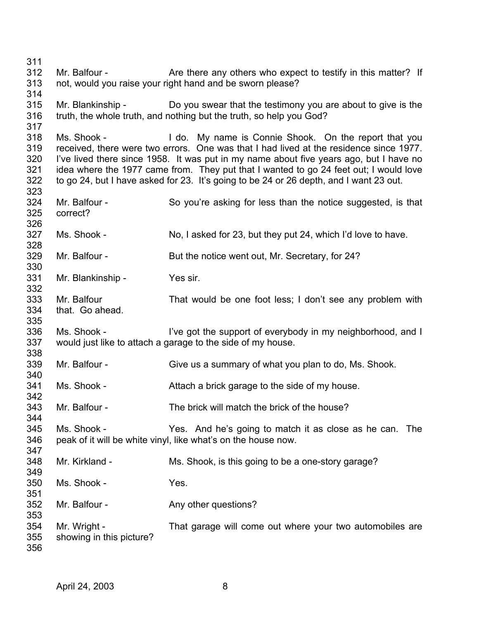Mr. Balfour - The Are there any others who expect to testify in this matter? If not, would you raise your right hand and be sworn please? Mr. Blankinship - Do you swear that the testimony you are about to give is the truth, the whole truth, and nothing but the truth, so help you God? Ms. Shook - I do. My name is Connie Shook. On the report that you received, there were two errors. One was that I had lived at the residence since 1977. I've lived there since 1958. It was put in my name about five years ago, but I have no idea where the 1977 came from. They put that I wanted to go 24 feet out; I would love to go 24, but I have asked for 23. It's going to be 24 or 26 depth, and I want 23 out. Mr. Balfour - So you're asking for less than the notice suggested, is that correct? Ms. Shook - No, I asked for 23, but they put 24, which I'd love to have. Mr. Balfour - But the notice went out, Mr. Secretary, for 24? Mr. Blankinship - Yes sir. Mr. Balfour That would be one foot less; I don't see any problem with that. Go ahead. Ms. Shook - I've got the support of everybody in my neighborhood, and I would just like to attach a garage to the side of my house. Mr. Balfour - Give us a summary of what you plan to do, Ms. Shook. Ms. Shook - **Attach a brick garage to the side of my house.** Mr. Balfour - The brick will match the brick of the house? Ms. Shook - Yes. And he's going to match it as close as he can. The peak of it will be white vinyl, like what's on the house now. Mr. Kirkland - Ms. Shook, is this going to be a one-story garage? Ms. Shook - Yes. Mr. Balfour - The Any other questions? Mr. Wright - That garage will come out where your two automobiles are showing in this picture?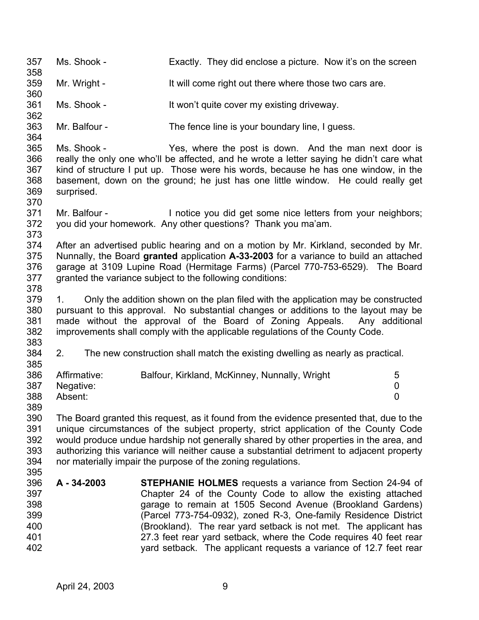357 358 359 360 361 362 363 364 365 366 367 368 369 370 371 372 373 374 375 376 377 378 379 380 381 382 383 384 385 386 387 388 389 390 391 392 393 394 395 396 397 398 399 400 401 402 Ms. Shook - Exactly. They did enclose a picture. Now it's on the screen Mr. Wright - It will come right out there where those two cars are. Ms. Shook - It won't quite cover my existing driveway. Mr. Balfour - The fence line is your boundary line, I guess. Ms. Shook - Yes, where the post is down. And the man next door is really the only one who'll be affected, and he wrote a letter saying he didn't care what kind of structure I put up. Those were his words, because he has one window, in the basement, down on the ground; he just has one little window. He could really get surprised. Mr. Balfour - Inotice you did get some nice letters from your neighbors; you did your homework. Any other questions? Thank you ma'am. After an advertised public hearing and on a motion by Mr. Kirkland, seconded by Mr. Nunnally, the Board **granted** application **A-33-2003** for a variance to build an attached garage at 3109 Lupine Road (Hermitage Farms) (Parcel 770-753-6529). The Board granted the variance subject to the following conditions: 1. Only the addition shown on the plan filed with the application may be constructed pursuant to this approval. No substantial changes or additions to the layout may be made without the approval of the Board of Zoning Appeals. Any additional improvements shall comply with the applicable regulations of the County Code. 2. The new construction shall match the existing dwelling as nearly as practical. Affirmative: Balfour, Kirkland, McKinney, Nunnally, Wright 5 Negative: 0 Absent: 0 The Board granted this request, as it found from the evidence presented that, due to the unique circumstances of the subject property, strict application of the County Code would produce undue hardship not generally shared by other properties in the area, and authorizing this variance will neither cause a substantial detriment to adjacent property nor materially impair the purpose of the zoning regulations. **A - 34-2003 STEPHANIE HOLMES** requests a variance from Section 24-94 of Chapter 24 of the County Code to allow the existing attached garage to remain at 1505 Second Avenue (Brookland Gardens) (Parcel 773-754-0932), zoned R-3, One-family Residence District (Brookland). The rear yard setback is not met. The applicant has 27.3 feet rear yard setback, where the Code requires 40 feet rear yard setback. The applicant requests a variance of 12.7 feet rear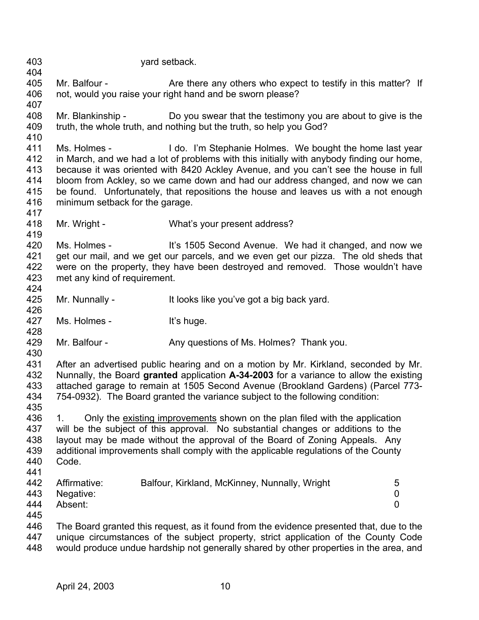403 404 405 406 407 408 409 410 411 412 413 414 415 416 417 418 419 420 421 422 423 424 425 426 427 428 429 430 431 432 433 434 435 yard setback. Mr. Balfour - The Are there any others who expect to testify in this matter? If not, would you raise your right hand and be sworn please? Mr. Blankinship - Do you swear that the testimony you are about to give is the truth, the whole truth, and nothing but the truth, so help you God? Ms. Holmes - I do. I'm Stephanie Holmes. We bought the home last year in March, and we had a lot of problems with this initially with anybody finding our home, because it was oriented with 8420 Ackley Avenue, and you can't see the house in full bloom from Ackley, so we came down and had our address changed, and now we can be found. Unfortunately, that repositions the house and leaves us with a not enough minimum setback for the garage. Mr. Wright - What's your present address? Ms. Holmes - **It's 1505 Second Avenue.** We had it changed, and now we get our mail, and we get our parcels, and we even get our pizza. The old sheds that were on the property, they have been destroyed and removed. Those wouldn't have met any kind of requirement. Mr. Nunnally - It looks like you've got a big back yard. Ms. Holmes - It's huge. Mr. Balfour - Any questions of Ms. Holmes? Thank you. After an advertised public hearing and on a motion by Mr. Kirkland, seconded by Mr. Nunnally, the Board **granted** application **A-34-2003** for a variance to allow the existing attached garage to remain at 1505 Second Avenue (Brookland Gardens) (Parcel 773- 754-0932). The Board granted the variance subject to the following condition: 1. Only the existing improvements shown on the plan filed with the application will be the subject of this approval. No substantial changes or additions to the layout may be made without the approval of the Board of Zoning Appeals. Any additional improvements shall comply with the applicable regulations of the County Code. 436 437 438 439 440 441 442 443 444 445 446 447 448 Affirmative: Balfour, Kirkland, McKinney, Nunnally, Wright 5 Negative: 0 Absent: 0 The Board granted this request, as it found from the evidence presented that, due to the unique circumstances of the subject property, strict application of the County Code would produce undue hardship not generally shared by other properties in the area, and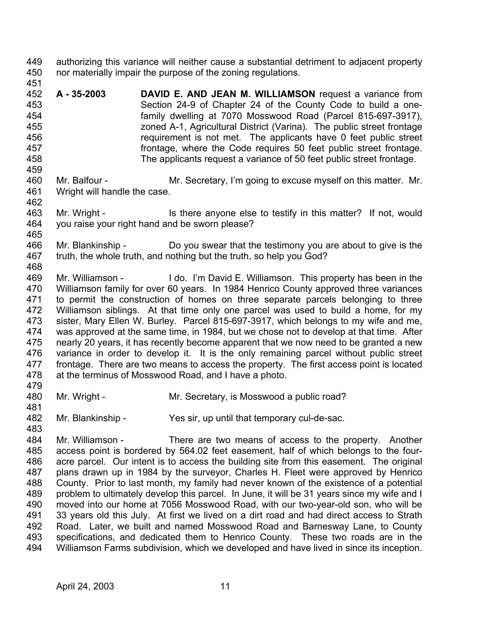449 450 451 authorizing this variance will neither cause a substantial detriment to adjacent property nor materially impair the purpose of the zoning regulations.

- 452 453 454 455 456 457 458 **A - 35-2003 DAVID E. AND JEAN M. WILLIAMSON** request a variance from Section 24-9 of Chapter 24 of the County Code to build a onefamily dwelling at 7070 Mosswood Road (Parcel 815-697-3917), zoned A-1, Agricultural District (Varina). The public street frontage requirement is not met. The applicants have 0 feet public street frontage, where the Code requires 50 feet public street frontage. The applicants request a variance of 50 feet public street frontage.
- 460 461 Mr. Balfour - The Mr. Secretary, I'm going to excuse myself on this matter. Mr. Wright will handle the case.
- 462 463 464 Mr. Wright - Is there anyone else to testify in this matter? If not, would you raise your right hand and be sworn please?
- 466 467 468 Mr. Blankinship - Do you swear that the testimony you are about to give is the truth, the whole truth, and nothing but the truth, so help you God?
- 469 470 471 472 473 474 475 476 477 478 Mr. Williamson - I do. I'm David E. Williamson. This property has been in the Williamson family for over 60 years. In 1984 Henrico County approved three variances to permit the construction of homes on three separate parcels belonging to three Williamson siblings. At that time only one parcel was used to build a home, for my sister, Mary Ellen W. Burley. Parcel 815-697-3917, which belongs to my wife and me, was approved at the same time, in 1984, but we chose not to develop at that time. After nearly 20 years, it has recently become apparent that we now need to be granted a new variance in order to develop it. It is the only remaining parcel without public street frontage. There are two means to access the property. The first access point is located at the terminus of Mosswood Road, and I have a photo.
- 479 480 Mr. Wright - Mr. Secretary, is Mosswood a public road?
- 481

459

465

- 
- 482 483
- Mr. Blankinship Yes sir, up until that temporary cul-de-sac.

484 485 486 487 488 489 490 491 492 493 494 Mr. Williamson - There are two means of access to the property. Another access point is bordered by 564.02 feet easement, half of which belongs to the fouracre parcel. Our intent is to access the building site from this easement. The original plans drawn up in 1984 by the surveyor, Charles H. Fleet were approved by Henrico County. Prior to last month, my family had never known of the existence of a potential problem to ultimately develop this parcel. In June, it will be 31 years since my wife and I moved into our home at 7056 Mosswood Road, with our two-year-old son, who will be 33 years old this July. At first we lived on a dirt road and had direct access to Strath Road. Later, we built and named Mosswood Road and Barnesway Lane, to County specifications, and dedicated them to Henrico County. These two roads are in the Williamson Farms subdivision, which we developed and have lived in since its inception.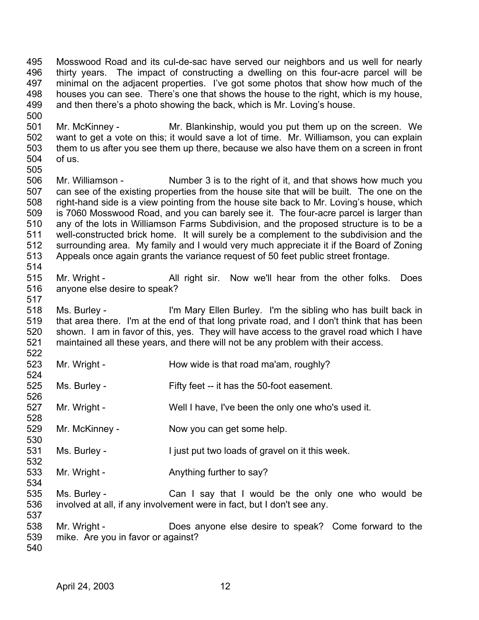495 496 497 498 499 Mosswood Road and its cul-de-sac have served our neighbors and us well for nearly thirty years. The impact of constructing a dwelling on this four-acre parcel will be minimal on the adjacent properties. I've got some photos that show how much of the houses you can see. There's one that shows the house to the right, which is my house, and then there's a photo showing the back, which is Mr. Loving's house.

501 502 503 504 505 Mr. McKinney - Mr. Blankinship, would you put them up on the screen. We want to get a vote on this; it would save a lot of time. Mr. Williamson, you can explain them to us after you see them up there, because we also have them on a screen in front of us.

506 507 508 509 510 511 512 513 514 Mr. Williamson - Number 3 is to the right of it, and that shows how much you can see of the existing properties from the house site that will be built. The one on the right-hand side is a view pointing from the house site back to Mr. Loving's house, which is 7060 Mosswood Road, and you can barely see it. The four-acre parcel is larger than any of the lots in Williamson Farms Subdivision, and the proposed structure is to be a well-constructed brick home. It will surely be a complement to the subdivision and the surrounding area. My family and I would very much appreciate it if the Board of Zoning Appeals once again grants the variance request of 50 feet public street frontage.

515 516 Mr. Wright - All right sir. Now we'll hear from the other folks. Does anyone else desire to speak?

518 519 520 521 Ms. Burley - I'm Mary Ellen Burley. I'm the sibling who has built back in that area there. I'm at the end of that long private road, and I don't think that has been shown. I am in favor of this, yes. They will have access to the gravel road which I have maintained all these years, and there will not be any problem with their access.

- 523 Mr. Wright - **How wide is that road ma'am, roughly?**
- 525 526 Ms. Burley - Fifty feet -- it has the 50-foot easement.
- 527 Mr. Wright - Well I have, I've been the only one who's used it.
- 529 Mr. McKinney - Now you can get some help.
- 531 Ms. Burley - The Unit put two loads of gravel on it this week.
- 533 Mr. Wright - Anything further to say?
- 535 536 Ms. Burley - Can I say that I would be the only one who would be involved at all, if any involvement were in fact, but I don't see any.
- 538 539 Mr. Wright - Does anyone else desire to speak? Come forward to the mike. Are you in favor or against?
- 540

500

517

522

524

528

530

532

534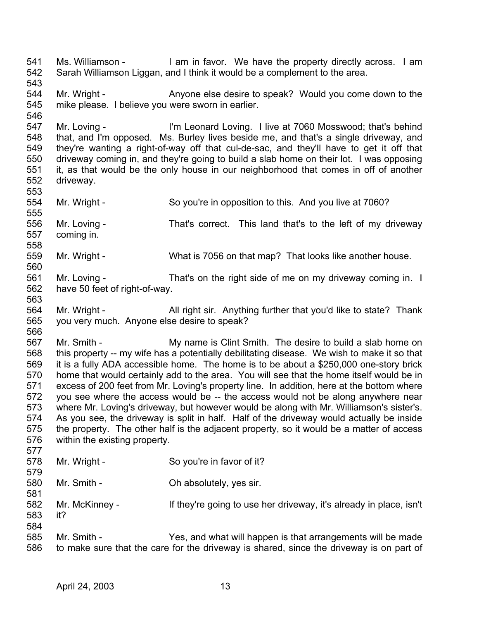541 542 543 544 545 546 547 548 549 550 551 552 553 554 555 556 557 558 559 560 561 562 563 564 565 566 567 568 569 570 571 572 573 574 575 576 577 578 579 580 581 582 583 584 585 586 Ms. Williamson - I am in favor. We have the property directly across. I am Sarah Williamson Liggan, and I think it would be a complement to the area. Mr. Wright - Anyone else desire to speak? Would you come down to the mike please. I believe you were sworn in earlier. Mr. Loving - I'm Leonard Loving. I live at 7060 Mosswood; that's behind that, and I'm opposed. Ms. Burley lives beside me, and that's a single driveway, and they're wanting a right-of-way off that cul-de-sac, and they'll have to get it off that driveway coming in, and they're going to build a slab home on their lot. I was opposing it, as that would be the only house in our neighborhood that comes in off of another driveway. Mr. Wright - So you're in opposition to this. And you live at 7060? Mr. Loving - That's correct. This land that's to the left of my driveway coming in. Mr. Wright - What is 7056 on that map? That looks like another house. Mr. Loving - That's on the right side of me on my driveway coming in. I have 50 feet of right-of-way. Mr. Wright - All right sir. Anything further that you'd like to state? Thank you very much. Anyone else desire to speak? Mr. Smith - My name is Clint Smith. The desire to build a slab home on this property -- my wife has a potentially debilitating disease. We wish to make it so that it is a fully ADA accessible home. The home is to be about a \$250,000 one-story brick home that would certainly add to the area. You will see that the home itself would be in excess of 200 feet from Mr. Loving's property line. In addition, here at the bottom where you see where the access would be -- the access would not be along anywhere near where Mr. Loving's driveway, but however would be along with Mr. Williamson's sister's. As you see, the driveway is split in half. Half of the driveway would actually be inside the property. The other half is the adjacent property, so it would be a matter of access within the existing property. Mr. Wright - So you're in favor of it? Mr. Smith - Chabsolutely, yes sir. Mr. McKinney - If they're going to use her driveway, it's already in place, isn't it? Mr. Smith - Yes, and what will happen is that arrangements will be made to make sure that the care for the driveway is shared, since the driveway is on part of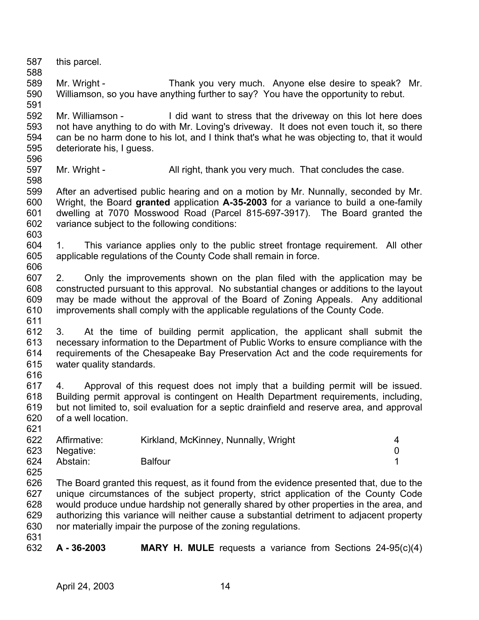587 588 this parcel.

589 590 591 Mr. Wright - Thank you very much. Anyone else desire to speak? Mr. Williamson, so you have anything further to say? You have the opportunity to rebut.

592 593 594 595 596 Mr. Williamson - I did want to stress that the driveway on this lot here does not have anything to do with Mr. Loving's driveway. It does not even touch it, so there can be no harm done to his lot, and I think that's what he was objecting to, that it would deteriorate his, I guess.

597 598 Mr. Wright - All right, thank you very much. That concludes the case.

599 600 601 602 After an advertised public hearing and on a motion by Mr. Nunnally, seconded by Mr. Wright, the Board **granted** application **A-35-2003** for a variance to build a one-family dwelling at 7070 Mosswood Road (Parcel 815-697-3917). The Board granted the variance subject to the following conditions:

604 605 606 1. This variance applies only to the public street frontage requirement. All other applicable regulations of the County Code shall remain in force.

607 608 609 610 611 2. Only the improvements shown on the plan filed with the application may be constructed pursuant to this approval. No substantial changes or additions to the layout may be made without the approval of the Board of Zoning Appeals. Any additional improvements shall comply with the applicable regulations of the County Code.

612 613 614 615 616 3. At the time of building permit application, the applicant shall submit the necessary information to the Department of Public Works to ensure compliance with the requirements of the Chesapeake Bay Preservation Act and the code requirements for water quality standards.

617 618 619 620 621 4. Approval of this request does not imply that a building permit will be issued. Building permit approval is contingent on Health Department requirements, including, but not limited to, soil evaluation for a septic drainfield and reserve area, and approval of a well location.

| 622 | Affirmative:  | Kirkland, McKinney, Nunnally, Wright |  |
|-----|---------------|--------------------------------------|--|
|     | 623 Negative: |                                      |  |
| 624 | Abstain:      | <b>Balfour</b>                       |  |

625 626 627 628 629 630 The Board granted this request, as it found from the evidence presented that, due to the unique circumstances of the subject property, strict application of the County Code would produce undue hardship not generally shared by other properties in the area, and authorizing this variance will neither cause a substantial detriment to adjacent property nor materially impair the purpose of the zoning regulations.

631

603

632 **A - 36-2003 MARY H. MULE** requests a variance from Sections 24-95(c)(4)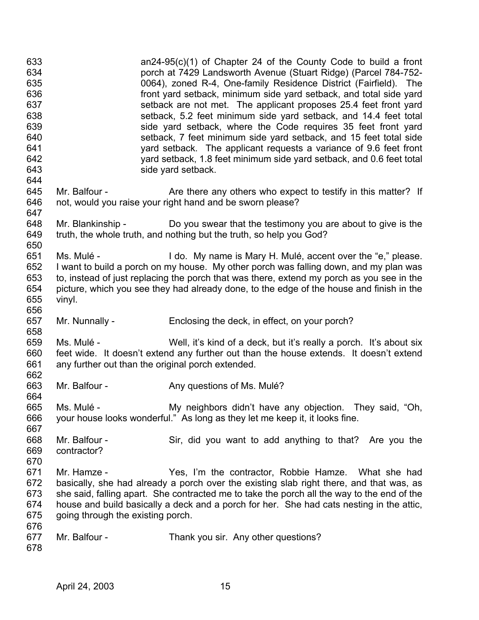| 633<br>634<br>635<br>636<br>637<br>638<br>639<br>640<br>641<br>642<br>643<br>644 |                                                                 | $an24-95(c)(1)$ of Chapter 24 of the County Code to build a front<br>porch at 7429 Landsworth Avenue (Stuart Ridge) (Parcel 784-752-<br>0064), zoned R-4, One-family Residence District (Fairfield). The<br>front yard setback, minimum side yard setback, and total side yard<br>setback are not met. The applicant proposes 25.4 feet front yard<br>setback, 5.2 feet minimum side yard setback, and 14.4 feet total<br>side yard setback, where the Code requires 35 feet front yard<br>setback, 7 feet minimum side yard setback, and 15 feet total side<br>yard setback. The applicant requests a variance of 9.6 feet front<br>yard setback, 1.8 feet minimum side yard setback, and 0.6 feet total<br>side yard setback. |
|----------------------------------------------------------------------------------|-----------------------------------------------------------------|---------------------------------------------------------------------------------------------------------------------------------------------------------------------------------------------------------------------------------------------------------------------------------------------------------------------------------------------------------------------------------------------------------------------------------------------------------------------------------------------------------------------------------------------------------------------------------------------------------------------------------------------------------------------------------------------------------------------------------|
| 645<br>646<br>647                                                                | Mr. Balfour -                                                   | Are there any others who expect to testify in this matter? If<br>not, would you raise your right hand and be sworn please?                                                                                                                                                                                                                                                                                                                                                                                                                                                                                                                                                                                                      |
| 648<br>649<br>650                                                                |                                                                 | Mr. Blankinship - Do you swear that the testimony you are about to give is the<br>truth, the whole truth, and nothing but the truth, so help you God?                                                                                                                                                                                                                                                                                                                                                                                                                                                                                                                                                                           |
| 651<br>652<br>653<br>654<br>655<br>656                                           | Ms. Mulé -<br>vinyl.                                            | I do. My name is Mary H. Mulé, accent over the "e," please.<br>I want to build a porch on my house. My other porch was falling down, and my plan was<br>to, instead of just replacing the porch that was there, extend my porch as you see in the<br>picture, which you see they had already done, to the edge of the house and finish in the                                                                                                                                                                                                                                                                                                                                                                                   |
| 657<br>658                                                                       | Mr. Nunnally -                                                  | Enclosing the deck, in effect, on your porch?                                                                                                                                                                                                                                                                                                                                                                                                                                                                                                                                                                                                                                                                                   |
| 659<br>660<br>661<br>662                                                         | Ms. Mulé -<br>any further out than the original porch extended. | Well, it's kind of a deck, but it's really a porch. It's about six<br>feet wide. It doesn't extend any further out than the house extends. It doesn't extend                                                                                                                                                                                                                                                                                                                                                                                                                                                                                                                                                                    |
| 663<br>664                                                                       | Mr. Balfour -                                                   | Any questions of Ms. Mulé?                                                                                                                                                                                                                                                                                                                                                                                                                                                                                                                                                                                                                                                                                                      |
| 665<br>666<br>667                                                                | Ms. Mulé -                                                      | My neighbors didn't have any objection. They said, "Oh,<br>your house looks wonderful." As long as they let me keep it, it looks fine.                                                                                                                                                                                                                                                                                                                                                                                                                                                                                                                                                                                          |
| 668<br>669<br>670                                                                | Mr. Balfour -<br>contractor?                                    | Sir, did you want to add anything to that? Are you the                                                                                                                                                                                                                                                                                                                                                                                                                                                                                                                                                                                                                                                                          |
| 671<br>672<br>673<br>674<br>675<br>676                                           | Mr. Hamze -<br>going through the existing porch.                | Yes, I'm the contractor, Robbie Hamze. What she had<br>basically, she had already a porch over the existing slab right there, and that was, as<br>she said, falling apart. She contracted me to take the porch all the way to the end of the<br>house and build basically a deck and a porch for her. She had cats nesting in the attic,                                                                                                                                                                                                                                                                                                                                                                                        |
| 677<br>678                                                                       | Mr. Balfour -                                                   | Thank you sir. Any other questions?                                                                                                                                                                                                                                                                                                                                                                                                                                                                                                                                                                                                                                                                                             |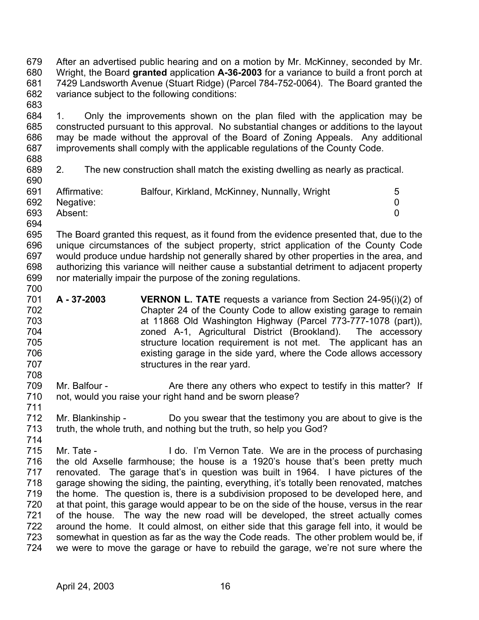679 680 681 682 683 After an advertised public hearing and on a motion by Mr. McKinney, seconded by Mr. Wright, the Board **granted** application **A-36-2003** for a variance to build a front porch at 7429 Landsworth Avenue (Stuart Ridge) (Parcel 784-752-0064). The Board granted the variance subject to the following conditions:

684 685 686 687 1. Only the improvements shown on the plan filed with the application may be constructed pursuant to this approval. No substantial changes or additions to the layout may be made without the approval of the Board of Zoning Appeals. Any additional improvements shall comply with the applicable regulations of the County Code.

- 688
- 689 690

711

2. The new construction shall match the existing dwelling as nearly as practical.

| 691 | Affirmative: | Balfour, Kirkland, McKinney, Nunnally, Wright | 5 |
|-----|--------------|-----------------------------------------------|---|
| 692 | Negative:    |                                               |   |
| 693 | Absent:      |                                               |   |
| 694 |              |                                               |   |

695 696 697 698 699 700 The Board granted this request, as it found from the evidence presented that, due to the unique circumstances of the subject property, strict application of the County Code would produce undue hardship not generally shared by other properties in the area, and authorizing this variance will neither cause a substantial detriment to adjacent property nor materially impair the purpose of the zoning regulations.

- 701 702 703 704 705 706 707 708 **A - 37-2003 VERNON L. TATE** requests a variance from Section 24-95(i)(2) of Chapter 24 of the County Code to allow existing garage to remain at 11868 Old Washington Highway (Parcel 773-777-1078 (part)), zoned A-1, Agricultural District (Brookland). The accessory structure location requirement is not met. The applicant has an existing garage in the side yard, where the Code allows accessory structures in the rear yard.
- 709 710 Mr. Balfour - The Are there any others who expect to testify in this matter? If not, would you raise your right hand and be sworn please?
- 712 713 714 Mr. Blankinship - Do you swear that the testimony you are about to give is the truth, the whole truth, and nothing but the truth, so help you God?
- 715 716 717 718 719 720 721 722 723 724 Mr. Tate - I do. I'm Vernon Tate. We are in the process of purchasing the old Axselle farmhouse; the house is a 1920's house that's been pretty much renovated. The garage that's in question was built in 1964. I have pictures of the garage showing the siding, the painting, everything, it's totally been renovated, matches the home. The question is, there is a subdivision proposed to be developed here, and at that point, this garage would appear to be on the side of the house, versus in the rear of the house. The way the new road will be developed, the street actually comes around the home. It could almost, on either side that this garage fell into, it would be somewhat in question as far as the way the Code reads. The other problem would be, if we were to move the garage or have to rebuild the garage, we're not sure where the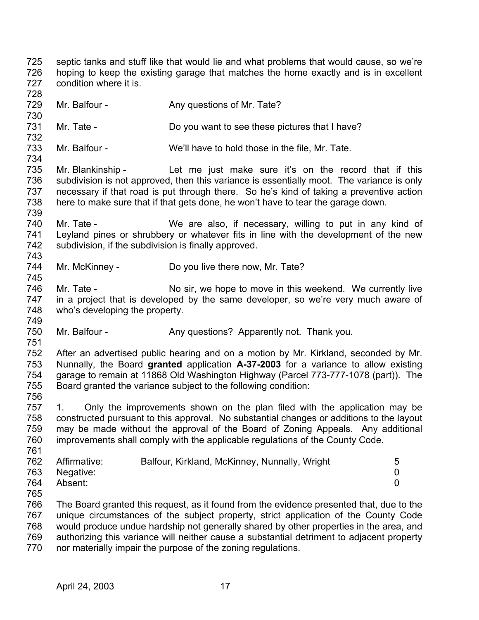725 726 727 septic tanks and stuff like that would lie and what problems that would cause, so we're hoping to keep the existing garage that matches the home exactly and is in excellent condition where it is.

- 729 Mr. Balfour - Any questions of Mr. Tate?
- 731 Mr. Tate - Do you want to see these pictures that I have?

733 Mr. Balfour - We'll have to hold those in the file, Mr. Tate.

735 736 737 738 739 Mr. Blankinship - Let me just make sure it's on the record that if this subdivision is not approved, then this variance is essentially moot. The variance is only necessary if that road is put through there. So he's kind of taking a preventive action here to make sure that if that gets done, he won't have to tear the garage down.

- 740 741 742 743 Mr. Tate - We are also, if necessary, willing to put in any kind of Leyland pines or shrubbery or whatever fits in line with the development of the new subdivision, if the subdivision is finally approved.
- 744 Mr. McKinney - Do you live there now, Mr. Tate?
- 746 747 748 Mr. Tate - No sir, we hope to move in this weekend. We currently live in a project that is developed by the same developer, so we're very much aware of who's developing the property.
- 750 Mr. Balfour - Any questions? Apparently not. Thank you.

752 753 754 755 After an advertised public hearing and on a motion by Mr. Kirkland, seconded by Mr. Nunnally, the Board **granted** application **A-37-2003** for a variance to allow existing garage to remain at 11868 Old Washington Highway (Parcel 773-777-1078 (part)). The Board granted the variance subject to the following condition:

756

728

730

732

734

745

749

751

757 758 759 760 761 1. Only the improvements shown on the plan filed with the application may be constructed pursuant to this approval. No substantial changes or additions to the layout may be made without the approval of the Board of Zoning Appeals. Any additional improvements shall comply with the applicable regulations of the County Code.

| 762 | Affirmative:  | Balfour, Kirkland, McKinney, Nunnally, Wright | 5 |
|-----|---------------|-----------------------------------------------|---|
|     | 763 Negative: |                                               |   |
| 764 | Absent:       |                                               |   |
| 765 |               |                                               |   |

766 767 768 769 770 The Board granted this request, as it found from the evidence presented that, due to the unique circumstances of the subject property, strict application of the County Code would produce undue hardship not generally shared by other properties in the area, and authorizing this variance will neither cause a substantial detriment to adjacent property nor materially impair the purpose of the zoning regulations.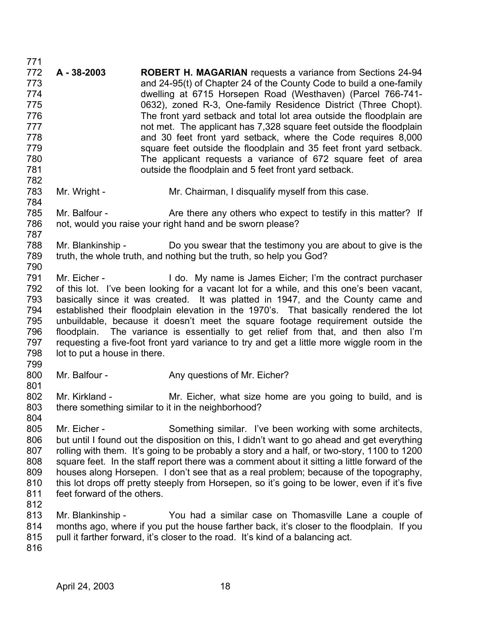771 772 773 774 775 776 777 778 779 780 781 782 783 784 785 786 787 788 789 790 791 792 793 794 795 796 797 798 799 800 801 802 803 804 805 806 807 808 809 810 811 812 813 814 815 816 **A - 38-2003 ROBERT H. MAGARIAN** requests a variance from Sections 24-94 and 24-95(t) of Chapter 24 of the County Code to build a one-family dwelling at 6715 Horsepen Road (Westhaven) (Parcel 766-741- 0632), zoned R-3, One-family Residence District (Three Chopt). The front yard setback and total lot area outside the floodplain are not met. The applicant has 7,328 square feet outside the floodplain and 30 feet front yard setback, where the Code requires 8,000 square feet outside the floodplain and 35 feet front yard setback. The applicant requests a variance of 672 square feet of area outside the floodplain and 5 feet front yard setback. Mr. Wright - Mr. Chairman, I disqualify myself from this case. Mr. Balfour - The Are there any others who expect to testify in this matter? If not, would you raise your right hand and be sworn please? Mr. Blankinship - Do you swear that the testimony you are about to give is the truth, the whole truth, and nothing but the truth, so help you God? Mr. Eicher - **I** do. My name is James Eicher; I'm the contract purchaser of this lot. I've been looking for a vacant lot for a while, and this one's been vacant, basically since it was created. It was platted in 1947, and the County came and established their floodplain elevation in the 1970's. That basically rendered the lot unbuildable, because it doesn't meet the square footage requirement outside the floodplain. The variance is essentially to get relief from that, and then also I'm requesting a five-foot front yard variance to try and get a little more wiggle room in the lot to put a house in there. Mr. Balfour - Any questions of Mr. Eicher? Mr. Kirkland - Mr. Eicher, what size home are you going to build, and is there something similar to it in the neighborhood? Mr. Eicher - Something similar. I've been working with some architects, but until I found out the disposition on this, I didn't want to go ahead and get everything rolling with them. It's going to be probably a story and a half, or two-story, 1100 to 1200 square feet. In the staff report there was a comment about it sitting a little forward of the houses along Horsepen. I don't see that as a real problem; because of the topography, this lot drops off pretty steeply from Horsepen, so it's going to be lower, even if it's five feet forward of the others. Mr. Blankinship - You had a similar case on Thomasville Lane a couple of months ago, where if you put the house farther back, it's closer to the floodplain. If you pull it farther forward, it's closer to the road. It's kind of a balancing act.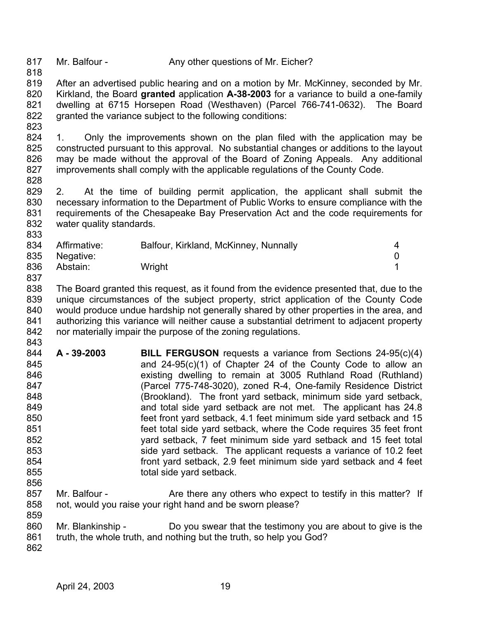817 Mr. Balfour - Any other questions of Mr. Eicher?

819 820 821 822 823 After an advertised public hearing and on a motion by Mr. McKinney, seconded by Mr. Kirkland, the Board **granted** application **A-38-2003** for a variance to build a one-family dwelling at 6715 Horsepen Road (Westhaven) (Parcel 766-741-0632). The Board granted the variance subject to the following conditions:

824 825 826 827 1. Only the improvements shown on the plan filed with the application may be constructed pursuant to this approval. No substantial changes or additions to the layout may be made without the approval of the Board of Zoning Appeals. Any additional improvements shall comply with the applicable regulations of the County Code.

828

818

829 830 831 832 833 2. At the time of building permit application, the applicant shall submit the necessary information to the Department of Public Works to ensure compliance with the requirements of the Chesapeake Bay Preservation Act and the code requirements for water quality standards.

| 834 | Affirmative: | Balfour, Kirkland, McKinney, Nunnally | $\overline{a}$ |
|-----|--------------|---------------------------------------|----------------|
| 835 | Negative:    |                                       |                |
| 836 | Abstain:     | Wright                                |                |
| 837 |              |                                       |                |

838 839 840 841 842 The Board granted this request, as it found from the evidence presented that, due to the unique circumstances of the subject property, strict application of the County Code would produce undue hardship not generally shared by other properties in the area, and authorizing this variance will neither cause a substantial detriment to adjacent property nor materially impair the purpose of the zoning regulations.

- 843 844 845 846 847 848 849 850 851 852 853 854 855 856 **A - 39-2003 BILL FERGUSON** requests a variance from Sections 24-95(c)(4) and 24-95(c)(1) of Chapter 24 of the County Code to allow an existing dwelling to remain at 3005 Ruthland Road (Ruthland) (Parcel 775-748-3020), zoned R-4, One-family Residence District (Brookland). The front yard setback, minimum side yard setback, and total side yard setback are not met. The applicant has 24.8 feet front yard setback, 4.1 feet minimum side yard setback and 15 feet total side yard setback, where the Code requires 35 feet front yard setback, 7 feet minimum side yard setback and 15 feet total side yard setback. The applicant requests a variance of 10.2 feet front yard setback, 2.9 feet minimum side yard setback and 4 feet total side yard setback.
- 857 858 Mr. Balfour - The Are there any others who expect to testify in this matter? If not, would you raise your right hand and be sworn please?
- 860 Mr. Blankinship - Do you swear that the testimony you are about to give is the
- 861 truth, the whole truth, and nothing but the truth, so help you God?
- 862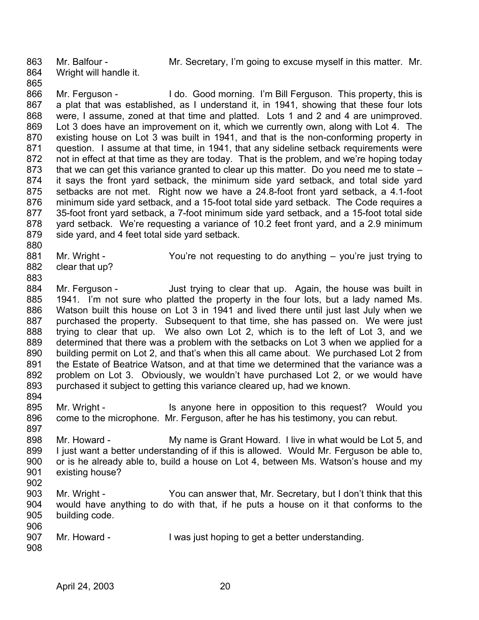863

Mr. Balfour - The Mr. Secretary, I'm going to excuse myself in this matter. Mr.

- 864 Wright will handle it.
- 865

866 867 868 869 870 871 872 873 874 875 876 877 878 879 Mr. Ferguson - I do. Good morning. I'm Bill Ferguson. This property, this is a plat that was established, as I understand it, in 1941, showing that these four lots were, I assume, zoned at that time and platted. Lots 1 and 2 and 4 are unimproved. Lot 3 does have an improvement on it, which we currently own, along with Lot 4. The existing house on Lot 3 was built in 1941, and that is the non-conforming property in question. I assume at that time, in 1941, that any sideline setback requirements were not in effect at that time as they are today. That is the problem, and we're hoping today that we can get this variance granted to clear up this matter. Do you need me to state – it says the front yard setback, the minimum side yard setback, and total side yard setbacks are not met. Right now we have a 24.8-foot front yard setback, a 4.1-foot minimum side yard setback, and a 15-foot total side yard setback. The Code requires a 35-foot front yard setback, a 7-foot minimum side yard setback, and a 15-foot total side yard setback. We're requesting a variance of 10.2 feet front yard, and a 2.9 minimum side yard, and 4 feet total side yard setback.

- 880
- 881 Mr. Wright - You're not requesting to do anything – you're just trying to
- 882 clear that up?
- 883

884 885 886 887 888 889 890 891 892 893 Mr. Ferguson - Just trying to clear that up. Again, the house was built in 1941. I'm not sure who platted the property in the four lots, but a lady named Ms. Watson built this house on Lot 3 in 1941 and lived there until just last July when we purchased the property. Subsequent to that time, she has passed on. We were just trying to clear that up. We also own Lot 2, which is to the left of Lot 3, and we determined that there was a problem with the setbacks on Lot 3 when we applied for a building permit on Lot 2, and that's when this all came about. We purchased Lot 2 from the Estate of Beatrice Watson, and at that time we determined that the variance was a problem on Lot 3. Obviously, we wouldn't have purchased Lot 2, or we would have purchased it subject to getting this variance cleared up, had we known.

894

895 896 897 Mr. Wright - This anyone here in opposition to this request? Would you come to the microphone. Mr. Ferguson, after he has his testimony, you can rebut.

- 898 899 900 901 Mr. Howard - My name is Grant Howard. I live in what would be Lot 5, and I just want a better understanding of if this is allowed. Would Mr. Ferguson be able to, or is he already able to, build a house on Lot 4, between Ms. Watson's house and my existing house?
- 902
- 903 904 905 906 Mr. Wright - You can answer that, Mr. Secretary, but I don't think that this would have anything to do with that, if he puts a house on it that conforms to the building code.
- 907 908 Mr. Howard - I was just hoping to get a better understanding.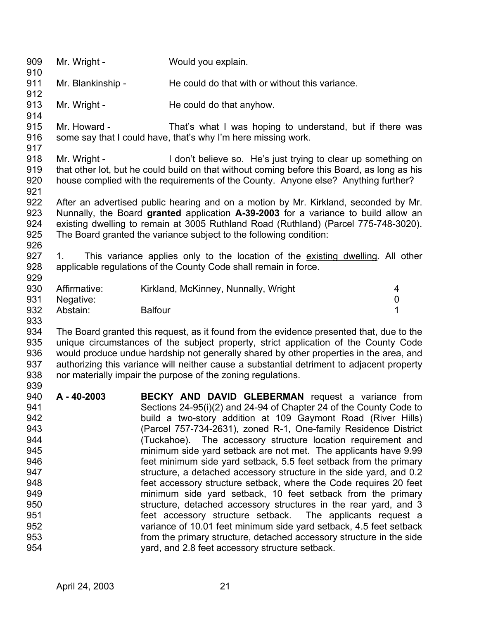| 909<br>910                      | Mr. Wright -      | Would you explain.                                                                                                                                                                                                                                                                                                                     |   |
|---------------------------------|-------------------|----------------------------------------------------------------------------------------------------------------------------------------------------------------------------------------------------------------------------------------------------------------------------------------------------------------------------------------|---|
| 911                             | Mr. Blankinship - | He could do that with or without this variance.                                                                                                                                                                                                                                                                                        |   |
| 912                             |                   |                                                                                                                                                                                                                                                                                                                                        |   |
| 913<br>914                      | Mr. Wright -      | He could do that anyhow.                                                                                                                                                                                                                                                                                                               |   |
| 915<br>916<br>917               | Mr. Howard -      | That's what I was hoping to understand, but if there was<br>some say that I could have, that's why I'm here missing work.                                                                                                                                                                                                              |   |
| 918<br>919<br>920<br>921        | Mr. Wright -      | I don't believe so. He's just trying to clear up something on<br>that other lot, but he could build on that without coming before this Board, as long as his<br>house complied with the requirements of the County. Anyone else? Anything further?                                                                                     |   |
| 922<br>923<br>924<br>925<br>926 |                   | After an advertised public hearing and on a motion by Mr. Kirkland, seconded by Mr.<br>Nunnally, the Board granted application A-39-2003 for a variance to build allow an<br>existing dwelling to remain at 3005 Ruthland Road (Ruthland) (Parcel 775-748-3020).<br>The Board granted the variance subject to the following condition: |   |
| 927<br>928<br>929               | 1.                | This variance applies only to the location of the existing dwelling. All other<br>applicable regulations of the County Code shall remain in force.                                                                                                                                                                                     |   |
| 930                             | Affirmative:      | Kirkland, McKinney, Nunnally, Wright                                                                                                                                                                                                                                                                                                   | 4 |
| 931                             | Negative:         |                                                                                                                                                                                                                                                                                                                                        | 0 |
| 932<br>933                      | Abstain:          | <b>Balfour</b>                                                                                                                                                                                                                                                                                                                         | 1 |
| 934                             |                   | The Board granted this request, as it found from the evidence presented that, due to the                                                                                                                                                                                                                                               |   |
| 935                             |                   | unique circumstances of the subject property, strict application of the County Code                                                                                                                                                                                                                                                    |   |
| 936                             |                   | would produce undue hardship not generally shared by other properties in the area, and                                                                                                                                                                                                                                                 |   |
| 937                             |                   | authorizing this variance will neither cause a substantial detriment to adjacent property                                                                                                                                                                                                                                              |   |
| 938                             |                   | nor materially impair the purpose of the zoning regulations.                                                                                                                                                                                                                                                                           |   |
| 939                             |                   |                                                                                                                                                                                                                                                                                                                                        |   |
| 940                             | A - 40-2003       | BECKY AND DAVID GLEBERMAN request a variance from                                                                                                                                                                                                                                                                                      |   |
| 941                             |                   | Sections 24-95(i)(2) and 24-94 of Chapter 24 of the County Code to                                                                                                                                                                                                                                                                     |   |
| 942                             |                   | build a two-story addition at 109 Gaymont Road (River Hills)                                                                                                                                                                                                                                                                           |   |
| 943                             |                   | (Parcel 757-734-2631), zoned R-1, One-family Residence District                                                                                                                                                                                                                                                                        |   |
| 944                             |                   | (Tuckahoe). The accessory structure location requirement and                                                                                                                                                                                                                                                                           |   |
| 945                             |                   | minimum side yard setback are not met. The applicants have 9.99                                                                                                                                                                                                                                                                        |   |
| 946                             |                   | feet minimum side yard setback, 5.5 feet setback from the primary                                                                                                                                                                                                                                                                      |   |
| 947                             |                   | structure, a detached accessory structure in the side yard, and 0.2                                                                                                                                                                                                                                                                    |   |
| 948                             |                   | feet accessory structure setback, where the Code requires 20 feet                                                                                                                                                                                                                                                                      |   |
| 949                             |                   | minimum side yard setback, 10 feet setback from the primary                                                                                                                                                                                                                                                                            |   |
| 950                             |                   | structure, detached accessory structures in the rear yard, and 3                                                                                                                                                                                                                                                                       |   |
| 951<br>952                      |                   | feet accessory structure setback. The applicants request a                                                                                                                                                                                                                                                                             |   |
| 953                             |                   | variance of 10.01 feet minimum side yard setback, 4.5 feet setback<br>from the primary structure, detached accessory structure in the side                                                                                                                                                                                             |   |
| 954                             |                   | yard, and 2.8 feet accessory structure setback.                                                                                                                                                                                                                                                                                        |   |
|                                 |                   |                                                                                                                                                                                                                                                                                                                                        |   |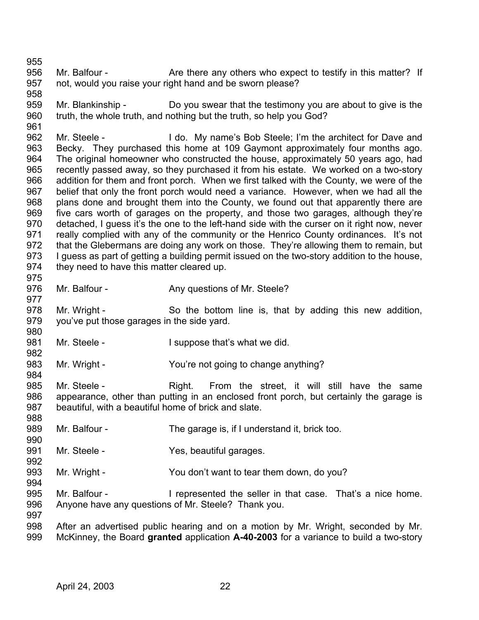956 957 Mr. Balfour - The Are there any others who expect to testify in this matter? If not, would you raise your right hand and be sworn please?

959 960 961 Mr. Blankinship - Do you swear that the testimony you are about to give is the truth, the whole truth, and nothing but the truth, so help you God?

962 963 964 965 966 967 968 969 970 971 972 973 974 Mr. Steele - I do. My name's Bob Steele; I'm the architect for Dave and Becky. They purchased this home at 109 Gaymont approximately four months ago. The original homeowner who constructed the house, approximately 50 years ago, had recently passed away, so they purchased it from his estate. We worked on a two-story addition for them and front porch. When we first talked with the County, we were of the belief that only the front porch would need a variance. However, when we had all the plans done and brought them into the County, we found out that apparently there are five cars worth of garages on the property, and those two garages, although they're detached, I guess it's the one to the left-hand side with the curser on it right now, never really complied with any of the community or the Henrico County ordinances. It's not that the Glebermans are doing any work on those. They're allowing them to remain, but I guess as part of getting a building permit issued on the two-story addition to the house, they need to have this matter cleared up.

976 Mr. Balfour - Any questions of Mr. Steele?

978 979 Mr. Wright - So the bottom line is, that by adding this new addition, you've put those garages in the side yard.

981 Mr. Steele - The I suppose that's what we did.

983 Mr. Wright - The You're not going to change anything?

985 986 987 Mr. Steele - The Right. From the street, it will still have the same appearance, other than putting in an enclosed front porch, but certainly the garage is beautiful, with a beautiful home of brick and slate.

- 989 Mr. Balfour - The garage is, if I understand it, brick too.
- 991 Mr. Steele - Yes, beautiful garages.
- 993 Mr. Wright - You don't want to tear them down, do you?
- 995 996 Mr. Balfour - I represented the seller in that case. That's a nice home. Anyone have any questions of Mr. Steele? Thank you.

998 999 After an advertised public hearing and on a motion by Mr. Wright, seconded by Mr. McKinney, the Board **granted** application **A-40-2003** for a variance to build a two-story

955

958

975

977

980

982

984

988

990

992

994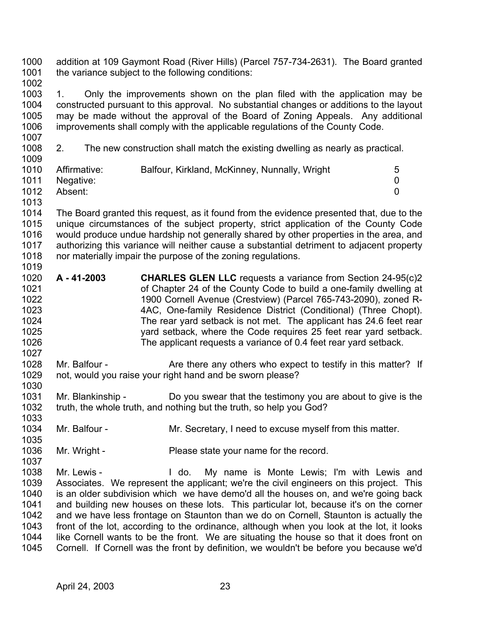1000 1001 addition at 109 Gaymont Road (River Hills) (Parcel 757-734-2631). The Board granted the variance subject to the following conditions:

1002

1003 1004 1005 1006 1007 1. Only the improvements shown on the plan filed with the application may be constructed pursuant to this approval. No substantial changes or additions to the layout may be made without the approval of the Board of Zoning Appeals. Any additional improvements shall comply with the applicable regulations of the County Code.

1008 1009 2. The new construction shall match the existing dwelling as nearly as practical.

| Affirmative: | Balfour, Kirkland, McKinney, Nunnally, Wright | 5 |
|--------------|-----------------------------------------------|---|
| Negative:    |                                               |   |
| Absent:      |                                               |   |
|              |                                               |   |

1013

1027

1030

1037

1014 1015 1016 1017 1018 1019 The Board granted this request, as it found from the evidence presented that, due to the unique circumstances of the subject property, strict application of the County Code would produce undue hardship not generally shared by other properties in the area, and authorizing this variance will neither cause a substantial detriment to adjacent property nor materially impair the purpose of the zoning regulations.

- 1020 1021 1022 1023 1024 1025 1026 **A - 41-2003 CHARLES GLEN LLC** requests a variance from Section 24-95(c)2 of Chapter 24 of the County Code to build a one-family dwelling at 1900 Cornell Avenue (Crestview) (Parcel 765-743-2090), zoned R-4AC, One-family Residence District (Conditional) (Three Chopt). The rear yard setback is not met. The applicant has 24.6 feet rear yard setback, where the Code requires 25 feet rear yard setback. The applicant requests a variance of 0.4 feet rear yard setback.
- 1028 1029 Mr. Balfour - The Are there any others who expect to testify in this matter? If not, would you raise your right hand and be sworn please?
- 1031 1032 1033 Mr. Blankinship - Do you swear that the testimony you are about to give is the truth, the whole truth, and nothing but the truth, so help you God?
- 1034 1035 Mr. Balfour - The Mr. Secretary, I need to excuse myself from this matter.
- 1036 Mr. Wright - Please state your name for the record.
- 1038 1039 1040 1041 1042 1043 1044 1045 Mr. Lewis - The Mull do. My name is Monte Lewis; I'm with Lewis and Associates. We represent the applicant; we're the civil engineers on this project. This is an older subdivision which we have demo'd all the houses on, and we're going back and building new houses on these lots. This particular lot, because it's on the corner and we have less frontage on Staunton than we do on Cornell, Staunton is actually the front of the lot, according to the ordinance, although when you look at the lot, it looks like Cornell wants to be the front. We are situating the house so that it does front on Cornell. If Cornell was the front by definition, we wouldn't be before you because we'd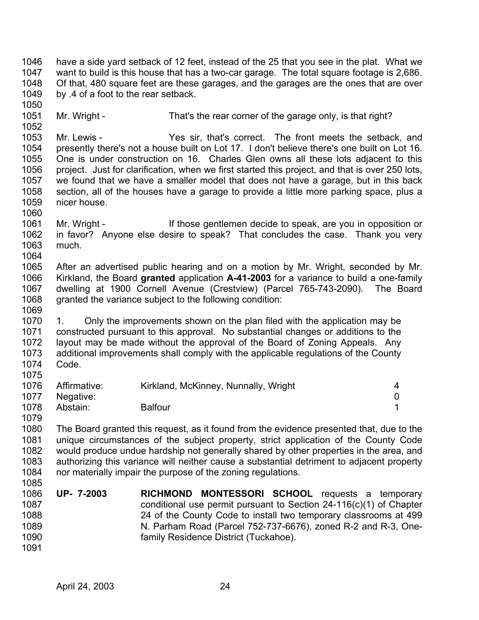1046 1047 1048 1049 have a side yard setback of 12 feet, instead of the 25 that you see in the plat. What we want to build is this house that has a two-car garage. The total square footage is 2,686. Of that, 480 square feet are these garages, and the garages are the ones that are over by .4 of a foot to the rear setback.

1051 1052 Mr. Wright - That's the rear corner of the garage only, is that right?

1053 1054 1055 1056 1057 1058 1059 Mr. Lewis - The Yes sir, that's correct. The front meets the setback, and presently there's not a house built on Lot 17. I don't believe there's one built on Lot 16. One is under construction on 16. Charles Glen owns all these lots adjacent to this project. Just for clarification, when we first started this project, and that is over 250 lots, we found that we have a smaller model that does not have a garage, but in this back section, all of the houses have a garage to provide a little more parking space, plus a nicer house.

1061 1062 1063 1064 Mr. Wright - If those gentlemen decide to speak, are you in opposition or in favor? Anyone else desire to speak? That concludes the case. Thank you very much.

1065 1066 1067 1068 1069 After an advertised public hearing and on a motion by Mr. Wright, seconded by Mr. Kirkland, the Board **granted** application **A-41-2003** for a variance to build a one-family dwelling at 1900 Cornell Avenue (Crestview) (Parcel 765-743-2090). The Board granted the variance subject to the following condition:

1070 1071 1072 1073 1074 1075 1. Only the improvements shown on the plan filed with the application may be constructed pursuant to this approval. No substantial changes or additions to the layout may be made without the approval of the Board of Zoning Appeals. Any additional improvements shall comply with the applicable regulations of the County Code.

| 1076 | Affirmative: | Kirkland, McKinney, Nunnally, Wright |  |
|------|--------------|--------------------------------------|--|
| 1077 | Negative:    |                                      |  |
| 1078 | Abstain:     | <b>Balfour</b>                       |  |

1080 1081 1082 1083 1084 1085 The Board granted this request, as it found from the evidence presented that, due to the unique circumstances of the subject property, strict application of the County Code would produce undue hardship not generally shared by other properties in the area, and authorizing this variance will neither cause a substantial detriment to adjacent property nor materially impair the purpose of the zoning regulations.

- 1086 1087 1088 1089 1090 1091 **UP- 7-2003 RICHMOND MONTESSORI SCHOOL** requests a temporary conditional use permit pursuant to Section 24-116(c)(1) of Chapter 24 of the County Code to install two temporary classrooms at 499 N. Parham Road (Parcel 752-737-6676), zoned R-2 and R-3, Onefamily Residence District (Tuckahoe).
	- April 24, 2003 24

1050

1060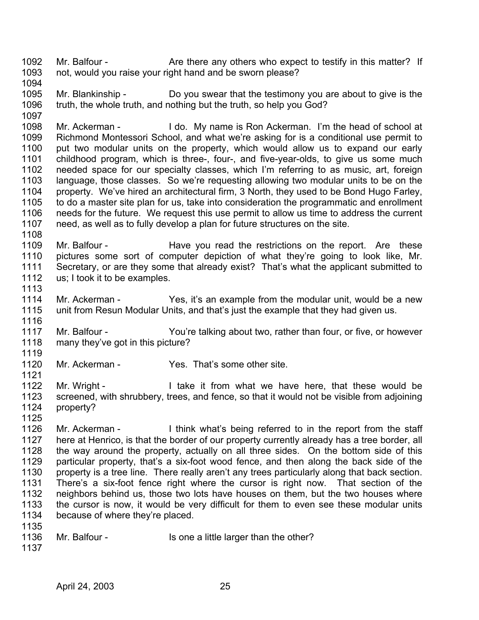1092 1093 Mr. Balfour - The Are there any others who expect to testify in this matter? If not, would you raise your right hand and be sworn please?

1094

1108

1113

1116

1121

1125

1095 1096 1097 Mr. Blankinship - Do you swear that the testimony you are about to give is the truth, the whole truth, and nothing but the truth, so help you God?

1098 1099 1100 1101 1102 1103 1104 1105 1106 1107 Mr. Ackerman - I do. My name is Ron Ackerman. I'm the head of school at Richmond Montessori School, and what we're asking for is a conditional use permit to put two modular units on the property, which would allow us to expand our early childhood program, which is three-, four-, and five-year-olds, to give us some much needed space for our specialty classes, which I'm referring to as music, art, foreign language, those classes. So we're requesting allowing two modular units to be on the property. We've hired an architectural firm, 3 North, they used to be Bond Hugo Farley, to do a master site plan for us, take into consideration the programmatic and enrollment needs for the future. We request this use permit to allow us time to address the current need, as well as to fully develop a plan for future structures on the site.

1109 1110 1111 1112 Mr. Balfour - The Have you read the restrictions on the report. Are these pictures some sort of computer depiction of what they're going to look like, Mr. Secretary, or are they some that already exist? That's what the applicant submitted to us; I took it to be examples.

1114 1115 Mr. Ackerman - Yes, it's an example from the modular unit, would be a new unit from Resun Modular Units, and that's just the example that they had given us.

1117 1118 1119 Mr. Balfour - You're talking about two, rather than four, or five, or however many they've got in this picture?

1120 Mr. Ackerman - Thes. That's some other site.

1122 1123 1124 Mr. Wright - I take it from what we have here, that these would be screened, with shrubbery, trees, and fence, so that it would not be visible from adjoining property?

1126 1127 1128 1129 1130 1131 1132 1133 1134 Mr. Ackerman - I think what's being referred to in the report from the staff here at Henrico, is that the border of our property currently already has a tree border, all the way around the property, actually on all three sides. On the bottom side of this particular property, that's a six-foot wood fence, and then along the back side of the property is a tree line. There really aren't any trees particularly along that back section. There's a six-foot fence right where the cursor is right now. That section of the neighbors behind us, those two lots have houses on them, but the two houses where the cursor is now, it would be very difficult for them to even see these modular units because of where they're placed.

- 1135
- 1136 Mr. Balfour - Is one a little larger than the other?
- 1137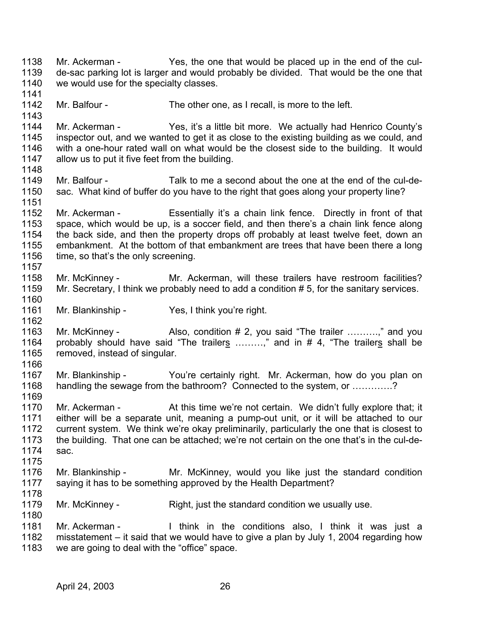1138 1139 1140 1141 1142 1143 1144 1145 1146 1147 1148 1149 1150 1151 1152 1153 1154 1155 1156 1157 1158 1159 1160 1161 1162 1163 Mr. Ackerman - Yes, the one that would be placed up in the end of the culde-sac parking lot is larger and would probably be divided. That would be the one that we would use for the specialty classes. Mr. Balfour - The other one, as I recall, is more to the left. Mr. Ackerman - Yes, it's a little bit more. We actually had Henrico County's inspector out, and we wanted to get it as close to the existing building as we could, and with a one-hour rated wall on what would be the closest side to the building. It would allow us to put it five feet from the building. Mr. Balfour - Talk to me a second about the one at the end of the cul-desac. What kind of buffer do you have to the right that goes along your property line? Mr. Ackerman - Essentially it's a chain link fence. Directly in front of that space, which would be up, is a soccer field, and then there's a chain link fence along the back side, and then the property drops off probably at least twelve feet, down an embankment. At the bottom of that embankment are trees that have been there a long time, so that's the only screening. Mr. McKinney - The Mr. Ackerman, will these trailers have restroom facilities? Mr. Secretary, I think we probably need to add a condition # 5, for the sanitary services. Mr. Blankinship - Yes, I think you're right. Mr. McKinney - Also, condition # 2, you said "The trailer ..........," and you probably should have said "The trailers  $\ldots$ .......," and in # 4, "The trailers shall be removed, instead of singular. 1164 1165 1166 1167 1168 1169 1170 1171 1172 1173 1174 1175 1176 1177 1178 1179 1180 1181 1182 1183 Mr. Blankinship - You're certainly right. Mr. Ackerman, how do you plan on handling the sewage from the bathroom? Connected to the system, or ............? Mr. Ackerman - At this time we're not certain. We didn't fully explore that; it either will be a separate unit, meaning a pump-out unit, or it will be attached to our current system. We think we're okay preliminarily, particularly the one that is closest to the building. That one can be attached; we're not certain on the one that's in the cul-desac. Mr. Blankinship - Mr. McKinney, would you like just the standard condition saying it has to be something approved by the Health Department? Mr. McKinney - Right, just the standard condition we usually use. Mr. Ackerman - Think in the conditions also, I think it was just a misstatement – it said that we would have to give a plan by July 1, 2004 regarding how we are going to deal with the "office" space.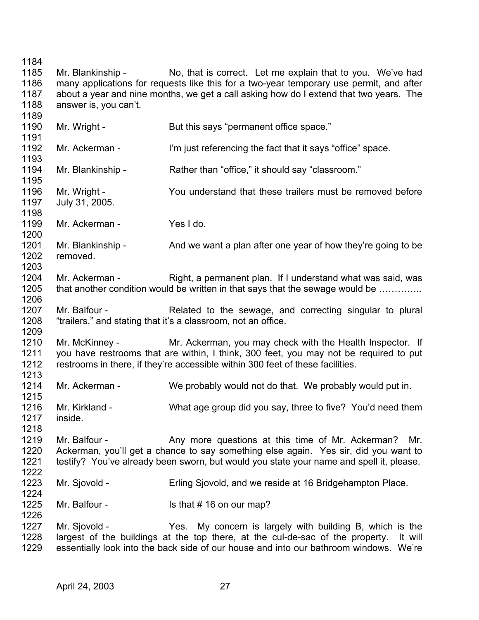1184

1185 1186 1187 1188 1189 Mr. Blankinship - No, that is correct. Let me explain that to you. We've had many applications for requests like this for a two-year temporary use permit, and after about a year and nine months, we get a call asking how do I extend that two years. The answer is, you can't.

1190 1191 1192 1193 1194 1195 1196 1197 1198 1199 1200 1201 1202 1203 1204 1205 1206 1207 1208 1209 1210 1211 1212 1213 1214 1215 1216 1217 1218 1219 1220 1221 1222 1223 1224 1225 1226 1227 1228 1229 Mr. Wright - But this says "permanent office space." Mr. Ackerman - I'm just referencing the fact that it says "office" space. Mr. Blankinship - Rather than "office," it should say "classroom." Mr. Wright - You understand that these trailers must be removed before July 31, 2005. Mr. Ackerman - Yes I do. Mr. Blankinship - And we want a plan after one year of how they're going to be removed. Mr. Ackerman - Right, a permanent plan. If I understand what was said, was that another condition would be written in that says that the sewage would be ………….. Mr. Balfour - The Related to the sewage, and correcting singular to plural "trailers," and stating that it's a classroom, not an office. Mr. McKinney - The Mr. Ackerman, you may check with the Health Inspector. If you have restrooms that are within, I think, 300 feet, you may not be required to put restrooms in there, if they're accessible within 300 feet of these facilities. Mr. Ackerman - We probably would not do that. We probably would put in. Mr. Kirkland - What age group did you say, three to five? You'd need them inside. Mr. Balfour - Any more questions at this time of Mr. Ackerman? Mr. Ackerman, you'll get a chance to say something else again. Yes sir, did you want to testify? You've already been sworn, but would you state your name and spell it, please. Mr. Sjovold - Erling Sjovold, and we reside at 16 Bridgehampton Place. Mr. Balfour - Is that # 16 on our map? Mr. Sjovold - Yes. My concern is largely with building B, which is the largest of the buildings at the top there, at the cul-de-sac of the property. It will essentially look into the back side of our house and into our bathroom windows. We're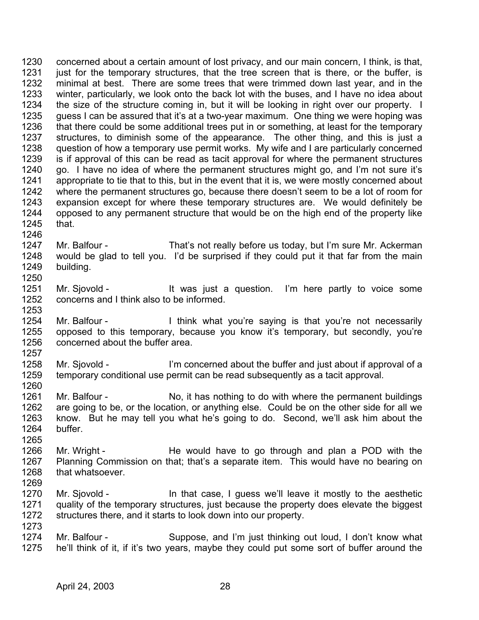1230 1231 1232 1233 1234 1235 1236 1237 1238 1239 1240 1241 1242 1243 1244 1245 1246 concerned about a certain amount of lost privacy, and our main concern, I think, is that, just for the temporary structures, that the tree screen that is there, or the buffer, is minimal at best. There are some trees that were trimmed down last year, and in the winter, particularly, we look onto the back lot with the buses, and I have no idea about the size of the structure coming in, but it will be looking in right over our property. I guess I can be assured that it's at a two-year maximum. One thing we were hoping was that there could be some additional trees put in or something, at least for the temporary structures, to diminish some of the appearance. The other thing, and this is just a question of how a temporary use permit works. My wife and I are particularly concerned is if approval of this can be read as tacit approval for where the permanent structures go. I have no idea of where the permanent structures might go, and I'm not sure it's appropriate to tie that to this, but in the event that it is, we were mostly concerned about where the permanent structures go, because there doesn't seem to be a lot of room for expansion except for where these temporary structures are. We would definitely be opposed to any permanent structure that would be on the high end of the property like that.

- 1247 1248 1249 Mr. Balfour - That's not really before us today, but I'm sure Mr. Ackerman would be glad to tell you. I'd be surprised if they could put it that far from the main building.
- 1251 1252 1253 Mr. Sjovold - It was just a question. I'm here partly to voice some concerns and I think also to be informed.
- 1254 1255 1256 1257 Mr. Balfour - Think what you're saying is that you're not necessarily opposed to this temporary, because you know it's temporary, but secondly, you're concerned about the buffer area.
- 1258 1259 Mr. Sjovold - I'm concerned about the buffer and just about if approval of a temporary conditional use permit can be read subsequently as a tacit approval.
- 1261 1262 1263 1264 Mr. Balfour - No, it has nothing to do with where the permanent buildings are going to be, or the location, or anything else. Could be on the other side for all we know. But he may tell you what he's going to do. Second, we'll ask him about the buffer.
- 1266 1267 1268 Mr. Wright - He would have to go through and plan a POD with the Planning Commission on that; that's a separate item. This would have no bearing on that whatsoever.
- 1269 1270 1271 1272 Mr. Sjovold - **In that case, I guess we'll leave it mostly to the aesthetic** quality of the temporary structures, just because the property does elevate the biggest structures there, and it starts to look down into our property.
	- 1274 1275 Mr. Balfour - Suppose, and I'm just thinking out loud, I don't know what he'll think of it, if it's two years, maybe they could put some sort of buffer around the

1250

1260

1265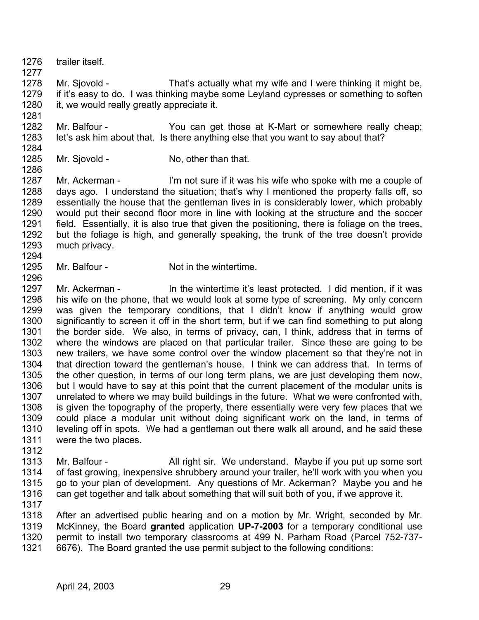1276 1277 trailer itself.

1281

- 1278 1279 1280 Mr. Sjovold - That's actually what my wife and I were thinking it might be, if it's easy to do. I was thinking maybe some Leyland cypresses or something to soften it, we would really greatly appreciate it.
- 1282 1283 1284 Mr. Balfour - The You can get those at K-Mart or somewhere really cheap; let's ask him about that. Is there anything else that you want to say about that?
- 1285 Mr. Sjovold - No, other than that.
- 1286 1287 1288 1289 1290 1291 1292 1293 1294 Mr. Ackerman - I'm not sure if it was his wife who spoke with me a couple of days ago. I understand the situation; that's why I mentioned the property falls off, so essentially the house that the gentleman lives in is considerably lower, which probably would put their second floor more in line with looking at the structure and the soccer field. Essentially, it is also true that given the positioning, there is foliage on the trees, but the foliage is high, and generally speaking, the trunk of the tree doesn't provide much privacy.
- 1295 Mr. Balfour - Not in the wintertime.
- 1297 1298 1299 1300 1301 1302 1303 1304 1305 1306 1307 1308 1309 1310 1311 Mr. Ackerman - In the wintertime it's least protected. I did mention, if it was his wife on the phone, that we would look at some type of screening. My only concern was given the temporary conditions, that I didn't know if anything would grow significantly to screen it off in the short term, but if we can find something to put along the border side. We also, in terms of privacy, can, I think, address that in terms of where the windows are placed on that particular trailer. Since these are going to be new trailers, we have some control over the window placement so that they're not in that direction toward the gentleman's house. I think we can address that. In terms of the other question, in terms of our long term plans, we are just developing them now, but I would have to say at this point that the current placement of the modular units is unrelated to where we may build buildings in the future. What we were confronted with, is given the topography of the property, there essentially were very few places that we could place a modular unit without doing significant work on the land, in terms of leveling off in spots. We had a gentleman out there walk all around, and he said these were the two places.
- 1312 1313 1314 1315 1316 1317 Mr. Balfour - All right sir. We understand. Maybe if you put up some sort of fast growing, inexpensive shrubbery around your trailer, he'll work with you when you go to your plan of development. Any questions of Mr. Ackerman? Maybe you and he can get together and talk about something that will suit both of you, if we approve it.
- 1318 1319 1320 1321 After an advertised public hearing and on a motion by Mr. Wright, seconded by Mr. McKinney, the Board **granted** application **UP-7-2003** for a temporary conditional use permit to install two temporary classrooms at 499 N. Parham Road (Parcel 752-737- 6676). The Board granted the use permit subject to the following conditions: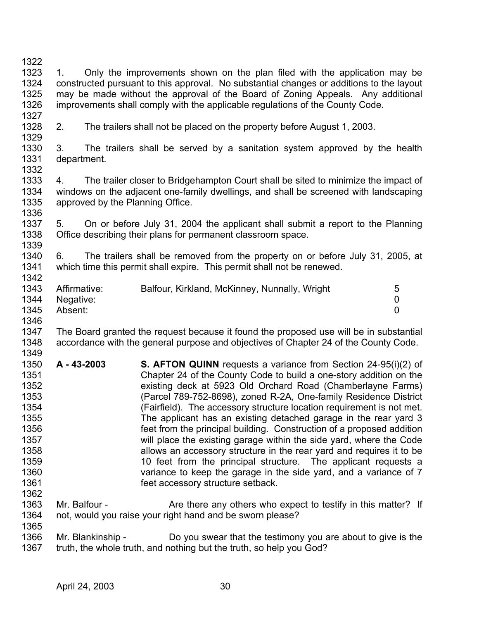1322 1323 1324 1325 1326 1327 1. Only the improvements shown on the plan filed with the application may be constructed pursuant to this approval. No substantial changes or additions to the layout may be made without the approval of the Board of Zoning Appeals. Any additional improvements shall comply with the applicable regulations of the County Code.

1328 1329

2. The trailers shall not be placed on the property before August 1, 2003.

1330 1331 1332 3. The trailers shall be served by a sanitation system approved by the health department.

1333 1334 1335 1336 4. The trailer closer to Bridgehampton Court shall be sited to minimize the impact of windows on the adjacent one-family dwellings, and shall be screened with landscaping approved by the Planning Office.

1337 1338 1339 5. On or before July 31, 2004 the applicant shall submit a report to the Planning Office describing their plans for permanent classroom space.

1340 1341 1342 6. The trailers shall be removed from the property on or before July 31, 2005, at which time this permit shall expire. This permit shall not be renewed.

| 1343 | Affirmative: | Balfour, Kirkland, McKinney, Nunnally, Wright | 5 |
|------|--------------|-----------------------------------------------|---|
| 1344 | Negative:    |                                               |   |
| 1345 | Absent:      |                                               |   |
| 1346 |              |                                               |   |

1347 1348 1349 The Board granted the request because it found the proposed use will be in substantial accordance with the general purpose and objectives of Chapter 24 of the County Code.

- 1350 1351 1352 1353 1354 1355 1356 1357 1358 1359 1360 1361 1362 **A - 43-2003 S. AFTON QUINN** requests a variance from Section 24-95(i)(2) of Chapter 24 of the County Code to build a one-story addition on the existing deck at 5923 Old Orchard Road (Chamberlayne Farms) (Parcel 789-752-8698), zoned R-2A, One-family Residence District (Fairfield). The accessory structure location requirement is not met. The applicant has an existing detached garage in the rear yard 3 feet from the principal building. Construction of a proposed addition will place the existing garage within the side yard, where the Code allows an accessory structure in the rear yard and requires it to be 10 feet from the principal structure. The applicant requests a variance to keep the garage in the side yard, and a variance of 7 feet accessory structure setback.
- 1363 1364 Mr. Balfour - The Are there any others who expect to testify in this matter? If not, would you raise your right hand and be sworn please?

1366 1367 Mr. Blankinship - Do you swear that the testimony you are about to give is the truth, the whole truth, and nothing but the truth, so help you God?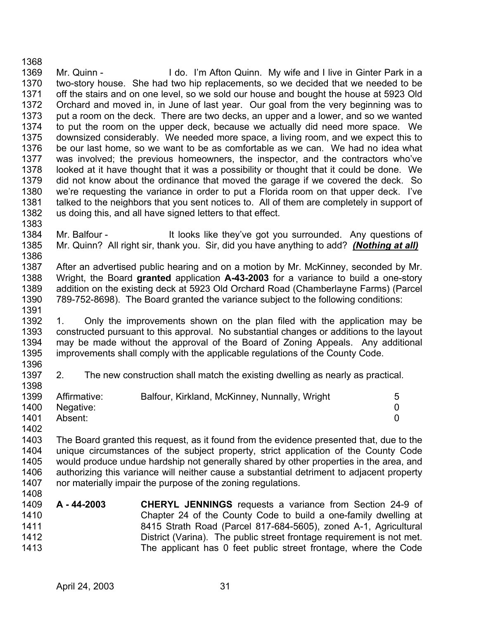1369 1370 1371 1372 1373 1374 1375 1376 1377 1378 1379 1380 1381 1382 Mr. Quinn - I do. I'm Afton Quinn. My wife and I live in Ginter Park in a two-story house. She had two hip replacements, so we decided that we needed to be off the stairs and on one level, so we sold our house and bought the house at 5923 Old Orchard and moved in, in June of last year. Our goal from the very beginning was to put a room on the deck. There are two decks, an upper and a lower, and so we wanted to put the room on the upper deck, because we actually did need more space. We downsized considerably. We needed more space, a living room, and we expect this to be our last home, so we want to be as comfortable as we can. We had no idea what was involved; the previous homeowners, the inspector, and the contractors who've looked at it have thought that it was a possibility or thought that it could be done. We did not know about the ordinance that moved the garage if we covered the deck. So we're requesting the variance in order to put a Florida room on that upper deck. I've talked to the neighbors that you sent notices to. All of them are completely in support of us doing this, and all have signed letters to that effect.

- 1384 Mr. Balfour - The Multimoks like they've got you surrounded. Any questions of 1385 Mr. Quinn? All right sir, thank you. Sir, did you have anything to add? *(Nothing at all)* 1386
- 1387 1388 1389 1390 After an advertised public hearing and on a motion by Mr. McKinney, seconded by Mr. Wright, the Board **granted** application **A-43-2003** for a variance to build a one-story addition on the existing deck at 5923 Old Orchard Road (Chamberlayne Farms) (Parcel 789-752-8698). The Board granted the variance subject to the following conditions:

1392 1393 1394 1395 1. Only the improvements shown on the plan filed with the application may be constructed pursuant to this approval. No substantial changes or additions to the layout may be made without the approval of the Board of Zoning Appeals. Any additional improvements shall comply with the applicable regulations of the County Code.

1396 1397 2. The new construction shall match the existing dwelling as nearly as practical.

| 1399 | Affirmative:   | Balfour, Kirkland, McKinney, Nunnally, Wright | 5 |
|------|----------------|-----------------------------------------------|---|
|      | 1400 Negative: |                                               |   |
| 1401 | Absent:        |                                               |   |

1403 1404 1405 1406 1407 The Board granted this request, as it found from the evidence presented that, due to the unique circumstances of the subject property, strict application of the County Code would produce undue hardship not generally shared by other properties in the area, and authorizing this variance will neither cause a substantial detriment to adjacent property nor materially impair the purpose of the zoning regulations.

1409 1410 1411 1412 1413 **A - 44-2003 CHERYL JENNINGS** requests a variance from Section 24-9 of Chapter 24 of the County Code to build a one-family dwelling at 8415 Strath Road (Parcel 817-684-5605), zoned A-1, Agricultural District (Varina). The public street frontage requirement is not met. The applicant has 0 feet public street frontage, where the Code

1368

1383

1391

1398

1402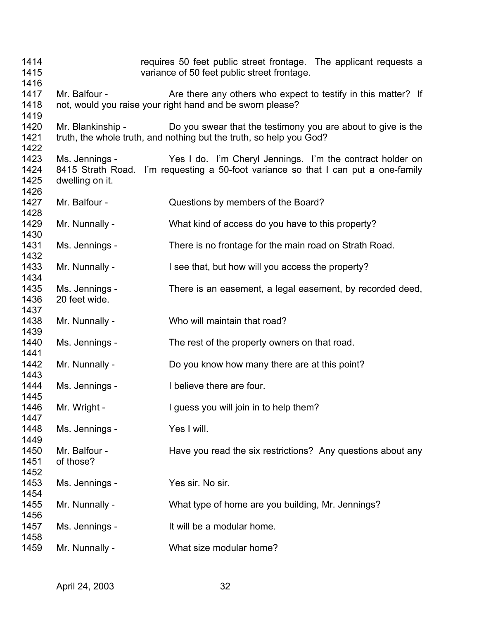| 1414<br>1415<br>1416         |                                   | requires 50 feet public street frontage. The applicant requests a<br>variance of 50 feet public street frontage.                                |
|------------------------------|-----------------------------------|-------------------------------------------------------------------------------------------------------------------------------------------------|
| 1417<br>1418                 | Mr. Balfour -                     | Are there any others who expect to testify in this matter? If<br>not, would you raise your right hand and be sworn please?                      |
| 1419<br>1420<br>1421<br>1422 | Mr. Blankinship -                 | Do you swear that the testimony you are about to give is the<br>truth, the whole truth, and nothing but the truth, so help you God?             |
| 1423<br>1424<br>1425         | Ms. Jennings -<br>dwelling on it. | Yes I do. I'm Cheryl Jennings. I'm the contract holder on<br>8415 Strath Road. I'm requesting a 50-foot variance so that I can put a one-family |
| 1426<br>1427<br>1428         | Mr. Balfour -                     | Questions by members of the Board?                                                                                                              |
| 1429<br>1430                 | Mr. Nunnally -                    | What kind of access do you have to this property?                                                                                               |
| 1431<br>1432                 | Ms. Jennings -                    | There is no frontage for the main road on Strath Road.                                                                                          |
| 1433<br>1434                 | Mr. Nunnally -                    | I see that, but how will you access the property?                                                                                               |
| 1435<br>1436<br>1437         | Ms. Jennings -<br>20 feet wide.   | There is an easement, a legal easement, by recorded deed,                                                                                       |
| 1438<br>1439                 | Mr. Nunnally -                    | Who will maintain that road?                                                                                                                    |
| 1440<br>1441                 | Ms. Jennings -                    | The rest of the property owners on that road.                                                                                                   |
| 1442<br>1443                 | Mr. Nunnally -                    | Do you know how many there are at this point?                                                                                                   |
| 1444<br>1445                 | Ms. Jennings -                    | I believe there are four.                                                                                                                       |
| 1446<br>1447                 | Mr. Wright -                      | I guess you will join in to help them?                                                                                                          |
| 1448<br>1449                 | Ms. Jennings -                    | Yes I will.                                                                                                                                     |
| 1450<br>1451<br>1452         | Mr. Balfour -<br>of those?        | Have you read the six restrictions? Any questions about any                                                                                     |
| 1453<br>1454                 | Ms. Jennings -                    | Yes sir. No sir.                                                                                                                                |
| 1455<br>1456                 | Mr. Nunnally -                    | What type of home are you building, Mr. Jennings?                                                                                               |
| 1457<br>1458                 | Ms. Jennings -                    | It will be a modular home.                                                                                                                      |
| 1459                         | Mr. Nunnally -                    | What size modular home?                                                                                                                         |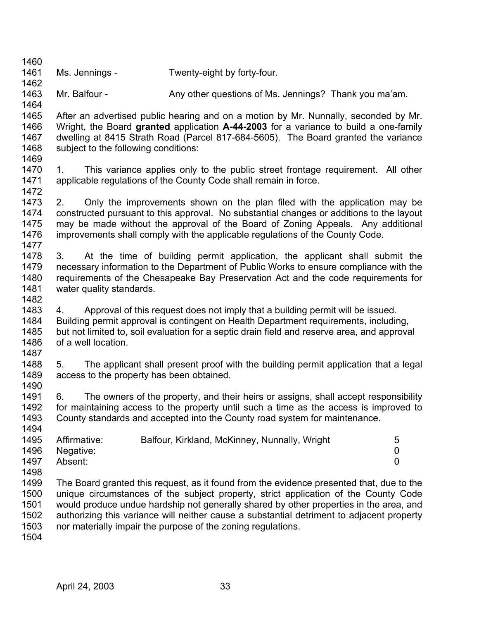- 1461 Ms. Jennings - Twenty-eight by forty-four.
- 1463 Mr. Balfour - Any other questions of Ms. Jennings? Thank you ma'am.
- 1465 1466 1467 1468 1469 After an advertised public hearing and on a motion by Mr. Nunnally, seconded by Mr. Wright, the Board **granted** application **A-44-2003** for a variance to build a one-family dwelling at 8415 Strath Road (Parcel 817-684-5605). The Board granted the variance subject to the following conditions:
- 1470 1471 1. This variance applies only to the public street frontage requirement. All other applicable regulations of the County Code shall remain in force.
- 1473 1474 1475 1476 1477 2. Only the improvements shown on the plan filed with the application may be constructed pursuant to this approval. No substantial changes or additions to the layout may be made without the approval of the Board of Zoning Appeals. Any additional improvements shall comply with the applicable regulations of the County Code.
- 1478 1479 1480 1481 3. At the time of building permit application, the applicant shall submit the necessary information to the Department of Public Works to ensure compliance with the requirements of the Chesapeake Bay Preservation Act and the code requirements for water quality standards.
- 1482 1483 1484 1485 1486 4. Approval of this request does not imply that a building permit will be issued. Building permit approval is contingent on Health Department requirements, including, but not limited to, soil evaluation for a septic drain field and reserve area, and approval of a well location.
- 1488 1489 5. The applicant shall present proof with the building permit application that a legal access to the property has been obtained.
- 1491 1492 1493 1494 6. The owners of the property, and their heirs or assigns, shall accept responsibility for maintaining access to the property until such a time as the access is improved to County standards and accepted into the County road system for maintenance.

| 1495 | Affirmative: | Balfour, Kirkland, McKinney, Nunnally, Wright | 5 |
|------|--------------|-----------------------------------------------|---|
| 1496 | Negative:    |                                               |   |
| 1497 | Absent:      |                                               |   |

- 1498 1499 1500 1501 1502 1503 The Board granted this request, as it found from the evidence presented that, due to the unique circumstances of the subject property, strict application of the County Code would produce undue hardship not generally shared by other properties in the area, and authorizing this variance will neither cause a substantial detriment to adjacent property nor materially impair the purpose of the zoning regulations.
- 1504

1460

1462

1464

1472

1487